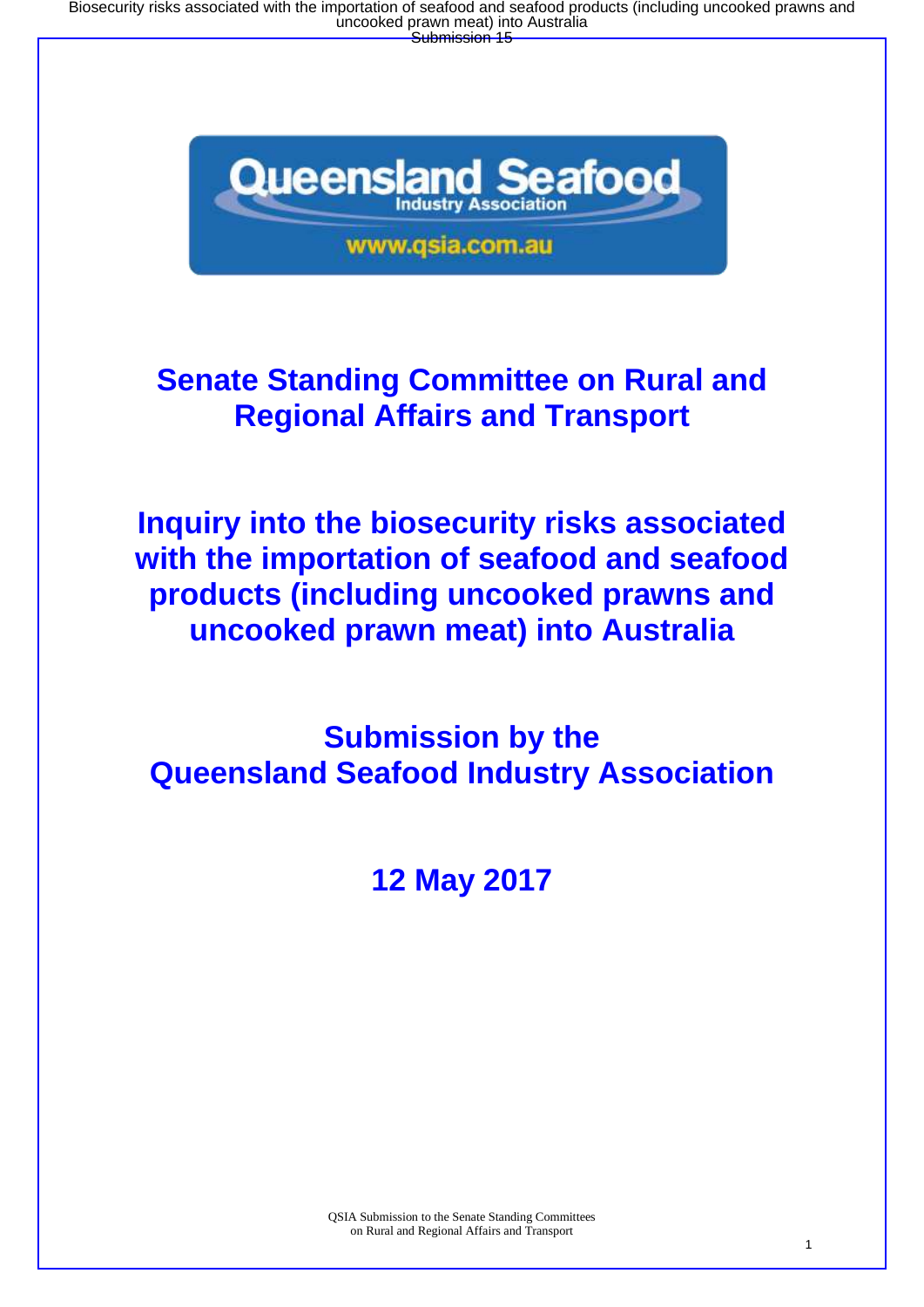Biosecurity risks associated with the importation of seafood and seafood products (including uncooked prawns and<br>uncooked prawn meat) into Australia<br>Submission 15



# **Senate Standing Committee on Rural and Regional Affairs and Transport**

**Inquiry into the biosecurity risks associated with the importation of seafood and seafood products (including uncooked prawns and uncooked prawn meat) into Australia**

**Submission by the Queensland Seafood Industry Association**

**12 May 2017**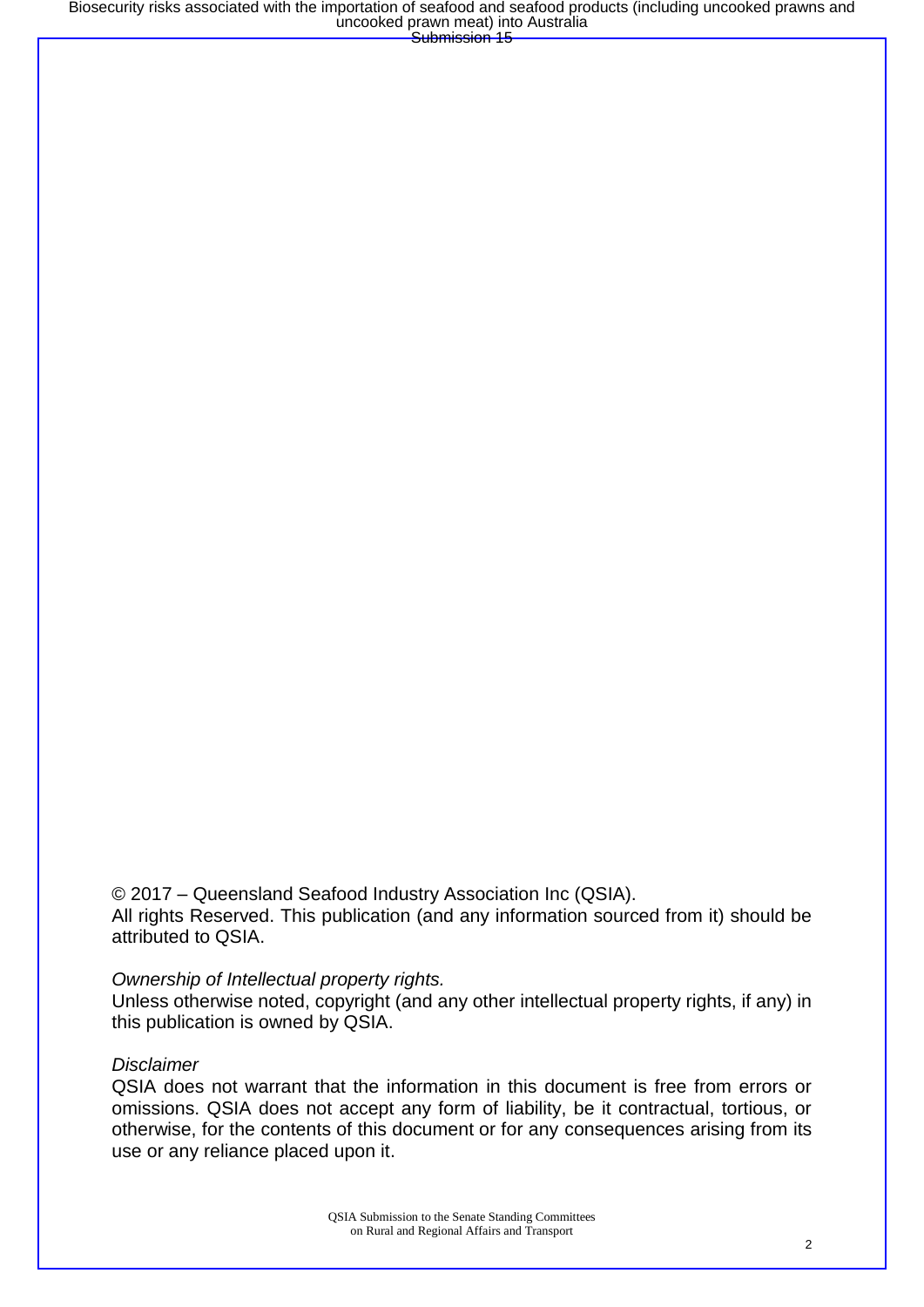© 2017 – Queensland Seafood Industry Association Inc (QSIA). All rights Reserved. This publication (and any information sourced from it) should be attributed to QSIA.

#### *Ownership of Intellectual property rights.*

Unless otherwise noted, copyright (and any other intellectual property rights, if any) in this publication is owned by QSIA.

#### *Disclaimer*

QSIA does not warrant that the information in this document is free from errors or omissions. QSIA does not accept any form of liability, be it contractual, tortious, or otherwise, for the contents of this document or for any consequences arising from its use or any reliance placed upon it.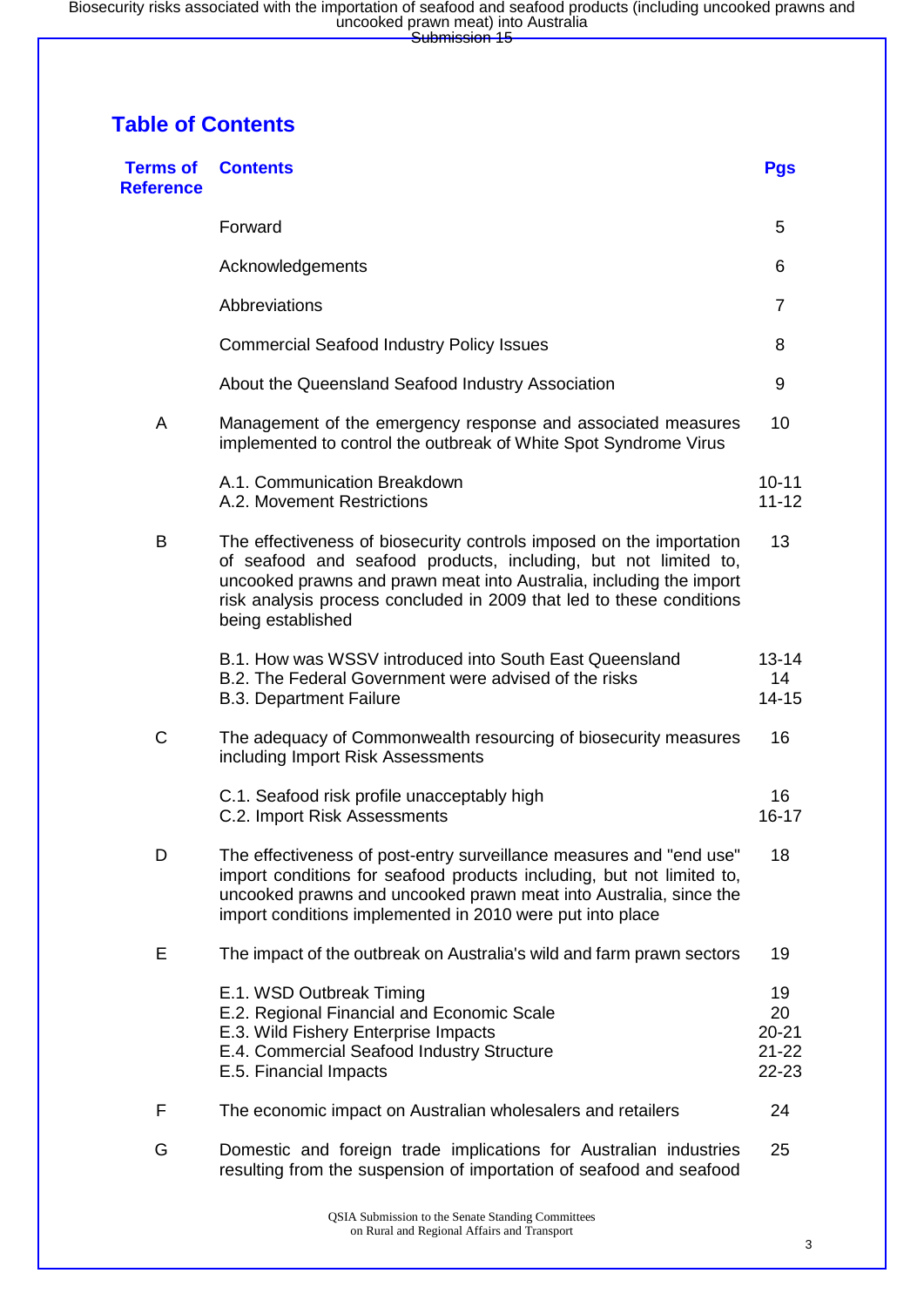## **Table of Contents**

| <b>Terms of</b><br><b>Reference</b> | <b>Contents</b>                                                                                                                                                                                                                                                                                             | <b>Pgs</b>                                  |
|-------------------------------------|-------------------------------------------------------------------------------------------------------------------------------------------------------------------------------------------------------------------------------------------------------------------------------------------------------------|---------------------------------------------|
|                                     | Forward                                                                                                                                                                                                                                                                                                     | 5                                           |
|                                     | Acknowledgements                                                                                                                                                                                                                                                                                            | 6                                           |
|                                     | Abbreviations                                                                                                                                                                                                                                                                                               | $\overline{7}$                              |
|                                     | <b>Commercial Seafood Industry Policy Issues</b>                                                                                                                                                                                                                                                            | 8                                           |
|                                     | About the Queensland Seafood Industry Association                                                                                                                                                                                                                                                           | 9                                           |
| A                                   | Management of the emergency response and associated measures<br>implemented to control the outbreak of White Spot Syndrome Virus                                                                                                                                                                            | 10                                          |
|                                     | A.1. Communication Breakdown<br>A.2. Movement Restrictions                                                                                                                                                                                                                                                  | $10 - 11$<br>$11 - 12$                      |
| B                                   | The effectiveness of biosecurity controls imposed on the importation<br>of seafood and seafood products, including, but not limited to,<br>uncooked prawns and prawn meat into Australia, including the import<br>risk analysis process concluded in 2009 that led to these conditions<br>being established | 13                                          |
|                                     | B.1. How was WSSV introduced into South East Queensland<br>B.2. The Federal Government were advised of the risks<br><b>B.3. Department Failure</b>                                                                                                                                                          | $13 - 14$<br>14<br>$14 - 15$                |
| C                                   | The adequacy of Commonwealth resourcing of biosecurity measures<br>including Import Risk Assessments                                                                                                                                                                                                        | 16                                          |
|                                     | C.1. Seafood risk profile unacceptably high<br>C.2. Import Risk Assessments                                                                                                                                                                                                                                 | 16<br>$16 - 17$                             |
| D                                   | The effectiveness of post-entry surveillance measures and "end use"<br>import conditions for seafood products including, but not limited to,<br>uncooked prawns and uncooked prawn meat into Australia, since the<br>import conditions implemented in 2010 were put into place                              | 18                                          |
| Е                                   | The impact of the outbreak on Australia's wild and farm prawn sectors                                                                                                                                                                                                                                       | 19                                          |
|                                     | E.1. WSD Outbreak Timing<br>E.2. Regional Financial and Economic Scale<br>E.3. Wild Fishery Enterprise Impacts<br>E.4. Commercial Seafood Industry Structure<br>E.5. Financial Impacts                                                                                                                      | 19<br>20<br>$20 - 21$<br>$21 - 22$<br>22-23 |
| F                                   | The economic impact on Australian wholesalers and retailers                                                                                                                                                                                                                                                 | 24                                          |
| G                                   | Domestic and foreign trade implications for Australian industries<br>resulting from the suspension of importation of seafood and seafood                                                                                                                                                                    | 25                                          |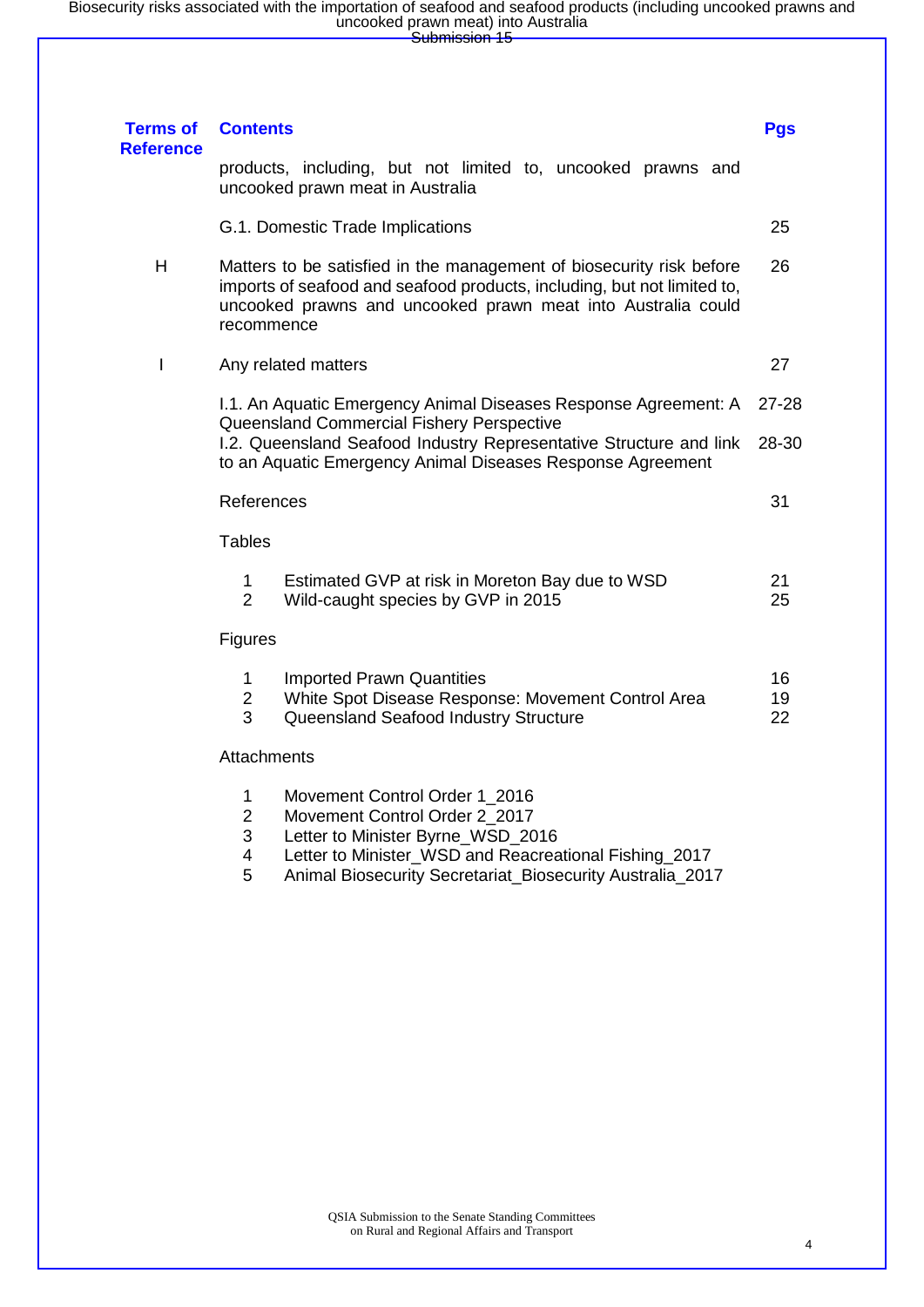| <b>Terms of</b><br><b>Reference</b> | <b>Contents</b>                                                                                                                                                                                                                     |                                                                                                                                                                                                                           | <b>Pgs</b>     |  |  |
|-------------------------------------|-------------------------------------------------------------------------------------------------------------------------------------------------------------------------------------------------------------------------------------|---------------------------------------------------------------------------------------------------------------------------------------------------------------------------------------------------------------------------|----------------|--|--|
|                                     |                                                                                                                                                                                                                                     | products, including, but not limited to, uncooked prawns and<br>uncooked prawn meat in Australia                                                                                                                          |                |  |  |
|                                     |                                                                                                                                                                                                                                     | G.1. Domestic Trade Implications                                                                                                                                                                                          | 25             |  |  |
| H                                   | Matters to be satisfied in the management of biosecurity risk before<br>26<br>imports of seafood and seafood products, including, but not limited to,<br>uncooked prawns and uncooked prawn meat into Australia could<br>recommence |                                                                                                                                                                                                                           |                |  |  |
| I                                   |                                                                                                                                                                                                                                     | Any related matters                                                                                                                                                                                                       | 27             |  |  |
|                                     |                                                                                                                                                                                                                                     | I.1. An Aquatic Emergency Animal Diseases Response Agreement: A<br>Queensland Commercial Fishery Perspective                                                                                                              | $27 - 28$      |  |  |
|                                     |                                                                                                                                                                                                                                     | I.2. Queensland Seafood Industry Representative Structure and link<br>to an Aquatic Emergency Animal Diseases Response Agreement                                                                                          | 28-30          |  |  |
|                                     | References                                                                                                                                                                                                                          |                                                                                                                                                                                                                           | 31             |  |  |
|                                     | <b>Tables</b>                                                                                                                                                                                                                       |                                                                                                                                                                                                                           |                |  |  |
|                                     | 1<br>$\overline{2}$                                                                                                                                                                                                                 | Estimated GVP at risk in Moreton Bay due to WSD<br>Wild-caught species by GVP in 2015                                                                                                                                     | 21<br>25       |  |  |
|                                     | Figures                                                                                                                                                                                                                             |                                                                                                                                                                                                                           |                |  |  |
|                                     | 1<br>$\overline{2}$<br>3                                                                                                                                                                                                            | <b>Imported Prawn Quantities</b><br>White Spot Disease Response: Movement Control Area<br>Queensland Seafood Industry Structure                                                                                           | 16<br>19<br>22 |  |  |
|                                     | Attachments                                                                                                                                                                                                                         |                                                                                                                                                                                                                           |                |  |  |
|                                     | 1<br>$\overline{2}$<br>3<br>4<br>5                                                                                                                                                                                                  | Movement Control Order 1_2016<br>Movement Control Order 2 2017<br>Letter to Minister Byrne_WSD_2016<br>Letter to Minister_WSD and Reacreational Fishing_2017<br>Animal Biosecurity Secretariat_Biosecurity Australia_2017 |                |  |  |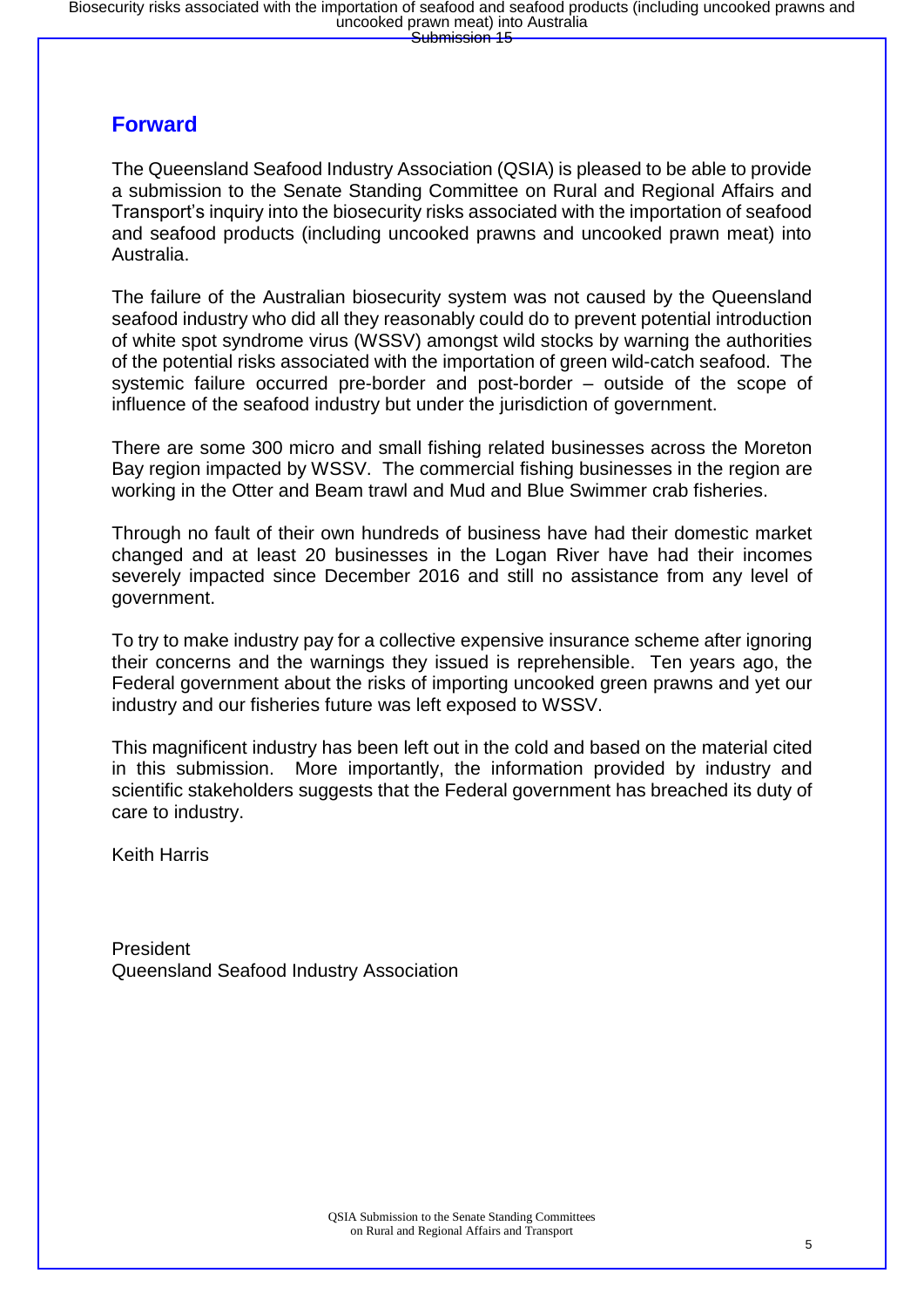### **Forward**

The Queensland Seafood Industry Association (QSIA) is pleased to be able to provide a submission to the Senate Standing Committee on Rural and Regional Affairs and Transport's inquiry into the biosecurity risks associated with the importation of seafood and seafood products (including uncooked prawns and uncooked prawn meat) into Australia.

The failure of the Australian biosecurity system was not caused by the Queensland seafood industry who did all they reasonably could do to prevent potential introduction of white spot syndrome virus (WSSV) amongst wild stocks by warning the authorities of the potential risks associated with the importation of green wild-catch seafood. The systemic failure occurred pre-border and post-border – outside of the scope of influence of the seafood industry but under the jurisdiction of government.

There are some 300 micro and small fishing related businesses across the Moreton Bay region impacted by WSSV. The commercial fishing businesses in the region are working in the Otter and Beam trawl and Mud and Blue Swimmer crab fisheries.

Through no fault of their own hundreds of business have had their domestic market changed and at least 20 businesses in the Logan River have had their incomes severely impacted since December 2016 and still no assistance from any level of government.

To try to make industry pay for a collective expensive insurance scheme after ignoring their concerns and the warnings they issued is reprehensible. Ten years ago, the Federal government about the risks of importing uncooked green prawns and yet our industry and our fisheries future was left exposed to WSSV.

This magnificent industry has been left out in the cold and based on the material cited in this submission. More importantly, the information provided by industry and scientific stakeholders suggests that the Federal government has breached its duty of care to industry.

Keith Harris

President Queensland Seafood Industry Association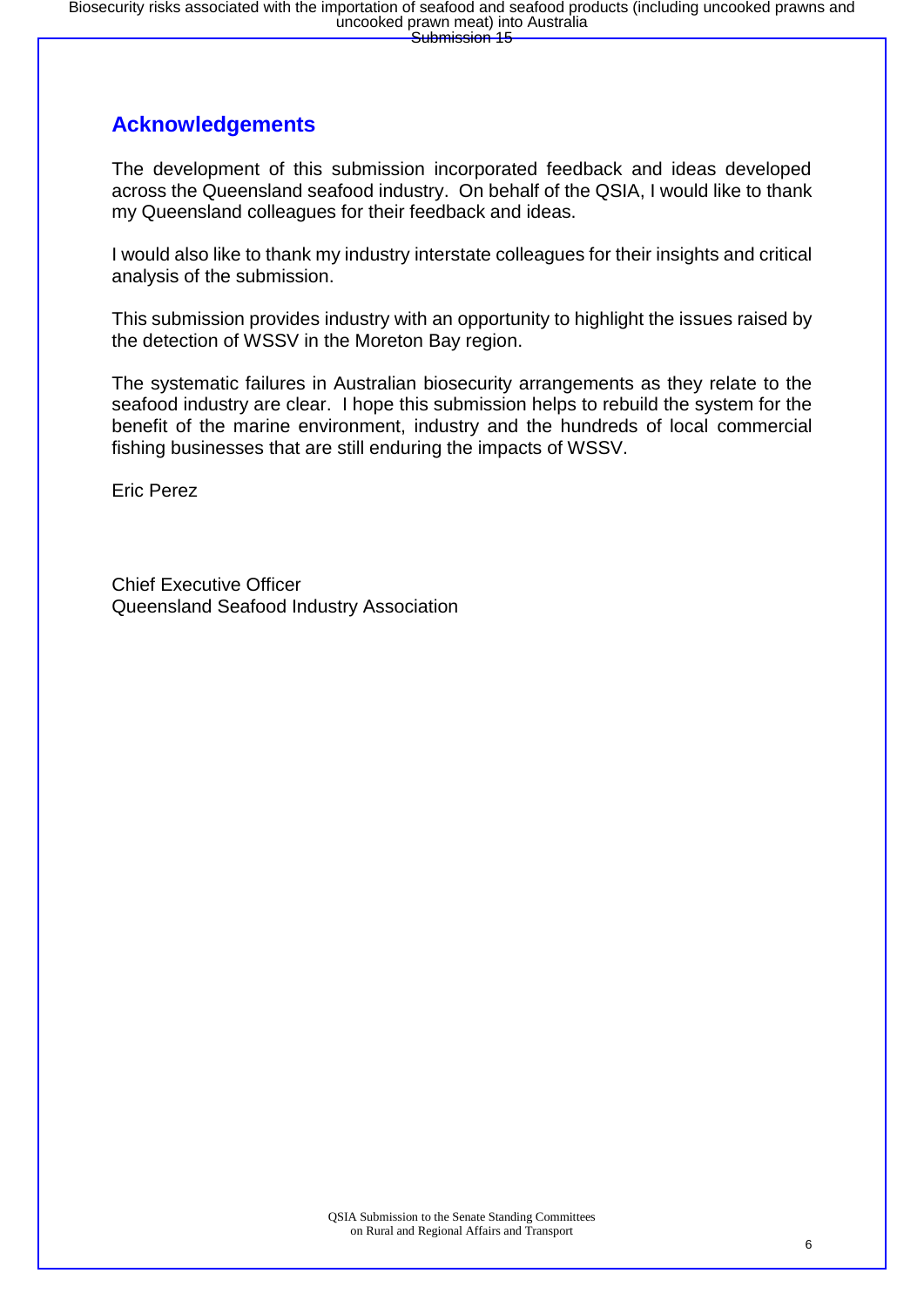### **Acknowledgements**

The development of this submission incorporated feedback and ideas developed across the Queensland seafood industry. On behalf of the QSIA, I would like to thank my Queensland colleagues for their feedback and ideas.

I would also like to thank my industry interstate colleagues for their insights and critical analysis of the submission.

This submission provides industry with an opportunity to highlight the issues raised by the detection of WSSV in the Moreton Bay region.

The systematic failures in Australian biosecurity arrangements as they relate to the seafood industry are clear. I hope this submission helps to rebuild the system for the benefit of the marine environment, industry and the hundreds of local commercial fishing businesses that are still enduring the impacts of WSSV.

Eric Perez

Chief Executive Officer Queensland Seafood Industry Association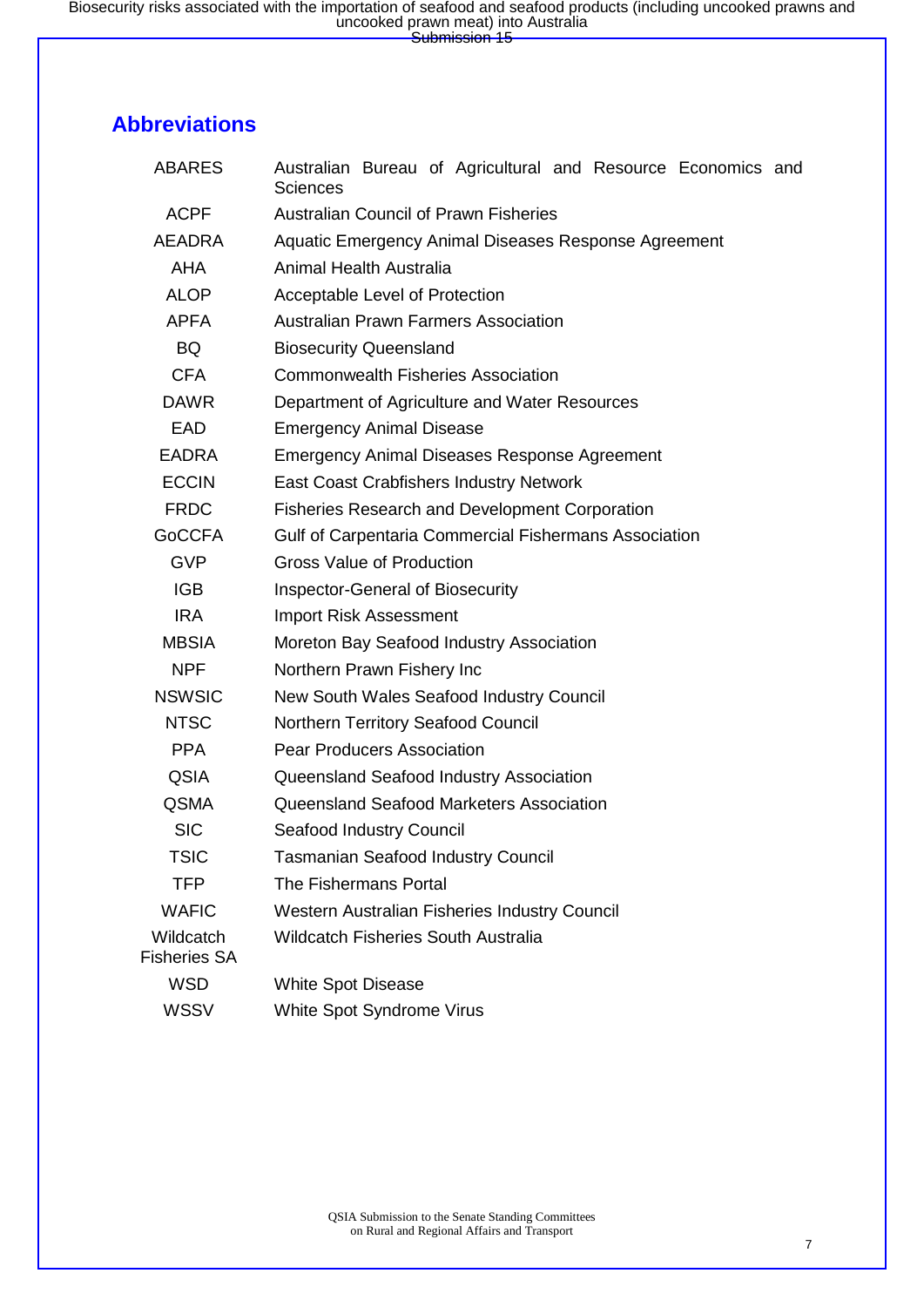### **Abbreviations**

| <b>ABARES</b>                    | Australian Bureau of Agricultural and Resource Economics and<br>Sciences |  |  |  |  |  |  |  |
|----------------------------------|--------------------------------------------------------------------------|--|--|--|--|--|--|--|
| <b>ACPF</b>                      | <b>Australian Council of Prawn Fisheries</b>                             |  |  |  |  |  |  |  |
| <b>AEADRA</b>                    | Aquatic Emergency Animal Diseases Response Agreement                     |  |  |  |  |  |  |  |
| <b>AHA</b>                       | Animal Health Australia                                                  |  |  |  |  |  |  |  |
| <b>ALOP</b>                      | Acceptable Level of Protection                                           |  |  |  |  |  |  |  |
| <b>APFA</b>                      | <b>Australian Prawn Farmers Association</b>                              |  |  |  |  |  |  |  |
| <b>BQ</b>                        | <b>Biosecurity Queensland</b>                                            |  |  |  |  |  |  |  |
| <b>CFA</b>                       | <b>Commonwealth Fisheries Association</b>                                |  |  |  |  |  |  |  |
| <b>DAWR</b>                      | Department of Agriculture and Water Resources                            |  |  |  |  |  |  |  |
| <b>EAD</b>                       | <b>Emergency Animal Disease</b>                                          |  |  |  |  |  |  |  |
| <b>EADRA</b>                     | <b>Emergency Animal Diseases Response Agreement</b>                      |  |  |  |  |  |  |  |
| <b>ECCIN</b>                     | <b>East Coast Crabfishers Industry Network</b>                           |  |  |  |  |  |  |  |
| <b>FRDC</b>                      | <b>Fisheries Research and Development Corporation</b>                    |  |  |  |  |  |  |  |
| <b>GoCCFA</b>                    | Gulf of Carpentaria Commercial Fishermans Association                    |  |  |  |  |  |  |  |
| <b>GVP</b>                       | <b>Gross Value of Production</b>                                         |  |  |  |  |  |  |  |
| <b>IGB</b>                       | <b>Inspector-General of Biosecurity</b>                                  |  |  |  |  |  |  |  |
| <b>IRA</b>                       | <b>Import Risk Assessment</b>                                            |  |  |  |  |  |  |  |
| <b>MBSIA</b>                     | Moreton Bay Seafood Industry Association                                 |  |  |  |  |  |  |  |
| <b>NPF</b>                       | Northern Prawn Fishery Inc                                               |  |  |  |  |  |  |  |
| <b>NSWSIC</b>                    | New South Wales Seafood Industry Council                                 |  |  |  |  |  |  |  |
| <b>NTSC</b>                      | Northern Territory Seafood Council                                       |  |  |  |  |  |  |  |
| <b>PPA</b>                       | <b>Pear Producers Association</b>                                        |  |  |  |  |  |  |  |
| <b>QSIA</b>                      | Queensland Seafood Industry Association                                  |  |  |  |  |  |  |  |
| <b>QSMA</b>                      | Queensland Seafood Marketers Association                                 |  |  |  |  |  |  |  |
| <b>SIC</b>                       | Seafood Industry Council                                                 |  |  |  |  |  |  |  |
| <b>TSIC</b>                      | <b>Tasmanian Seafood Industry Council</b>                                |  |  |  |  |  |  |  |
| <b>TFP</b>                       | The Fishermans Portal                                                    |  |  |  |  |  |  |  |
| <b>WAFIC</b>                     | Western Australian Fisheries Industry Council                            |  |  |  |  |  |  |  |
| Wildcatch<br><b>Fisheries SA</b> | <b>Wildcatch Fisheries South Australia</b>                               |  |  |  |  |  |  |  |
| <b>WSD</b>                       | <b>White Spot Disease</b>                                                |  |  |  |  |  |  |  |
| <b>WSSV</b>                      | White Spot Syndrome Virus                                                |  |  |  |  |  |  |  |
|                                  |                                                                          |  |  |  |  |  |  |  |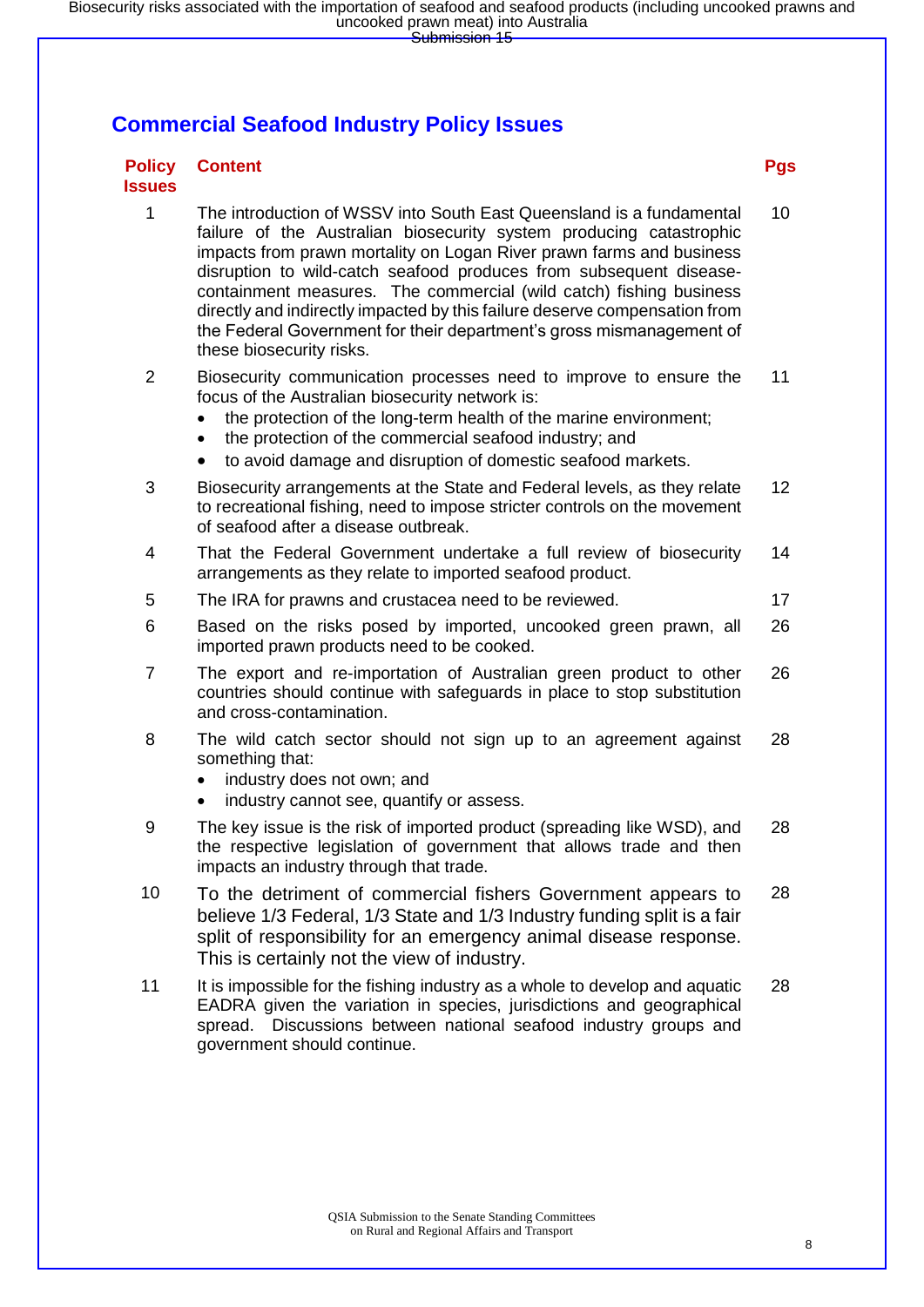### **Commercial Seafood Industry Policy Issues**

#### **Policy Issues Content Pgs**

1 The introduction of WSSV into South East Queensland is a fundamental failure of the Australian biosecurity system producing catastrophic impacts from prawn mortality on Logan River prawn farms and business disruption to wild-catch seafood produces from subsequent diseasecontainment measures. The commercial (wild catch) fishing business directly and indirectly impacted by this failure deserve compensation from the Federal Government for their department's gross mismanagement of these biosecurity risks. 10

2 Biosecurity communication processes need to improve to ensure the focus of the Australian biosecurity network is: 11

- the protection of the long-term health of the marine environment:
- the protection of the commercial seafood industry; and
- to avoid damage and disruption of domestic seafood markets.
- 3 Biosecurity arrangements at the State and Federal levels, as they relate to recreational fishing, need to impose stricter controls on the movement of seafood after a disease outbreak. 12
- 4 That the Federal Government undertake a full review of biosecurity arrangements as they relate to imported seafood product. 14
- 5 The IRA for prawns and crustacea need to be reviewed. 17
- 6 Based on the risks posed by imported, uncooked green prawn, all imported prawn products need to be cooked. 26
- 7 The export and re-importation of Australian green product to other countries should continue with safeguards in place to stop substitution and cross-contamination. 26
- 8 The wild catch sector should not sign up to an agreement against something that: 28
	- industry does not own; and
	- industry cannot see, quantify or assess.
- 9 The key issue is the risk of imported product (spreading like WSD), and the respective legislation of government that allows trade and then impacts an industry through that trade. 28
- 10 To the detriment of commercial fishers Government appears to believe 1/3 Federal, 1/3 State and 1/3 Industry funding split is a fair split of responsibility for an emergency animal disease response. This is certainly not the view of industry. 28
- 11 It is impossible for the fishing industry as a whole to develop and aquatic EADRA given the variation in species, jurisdictions and geographical spread. Discussions between national seafood industry groups and government should continue. 28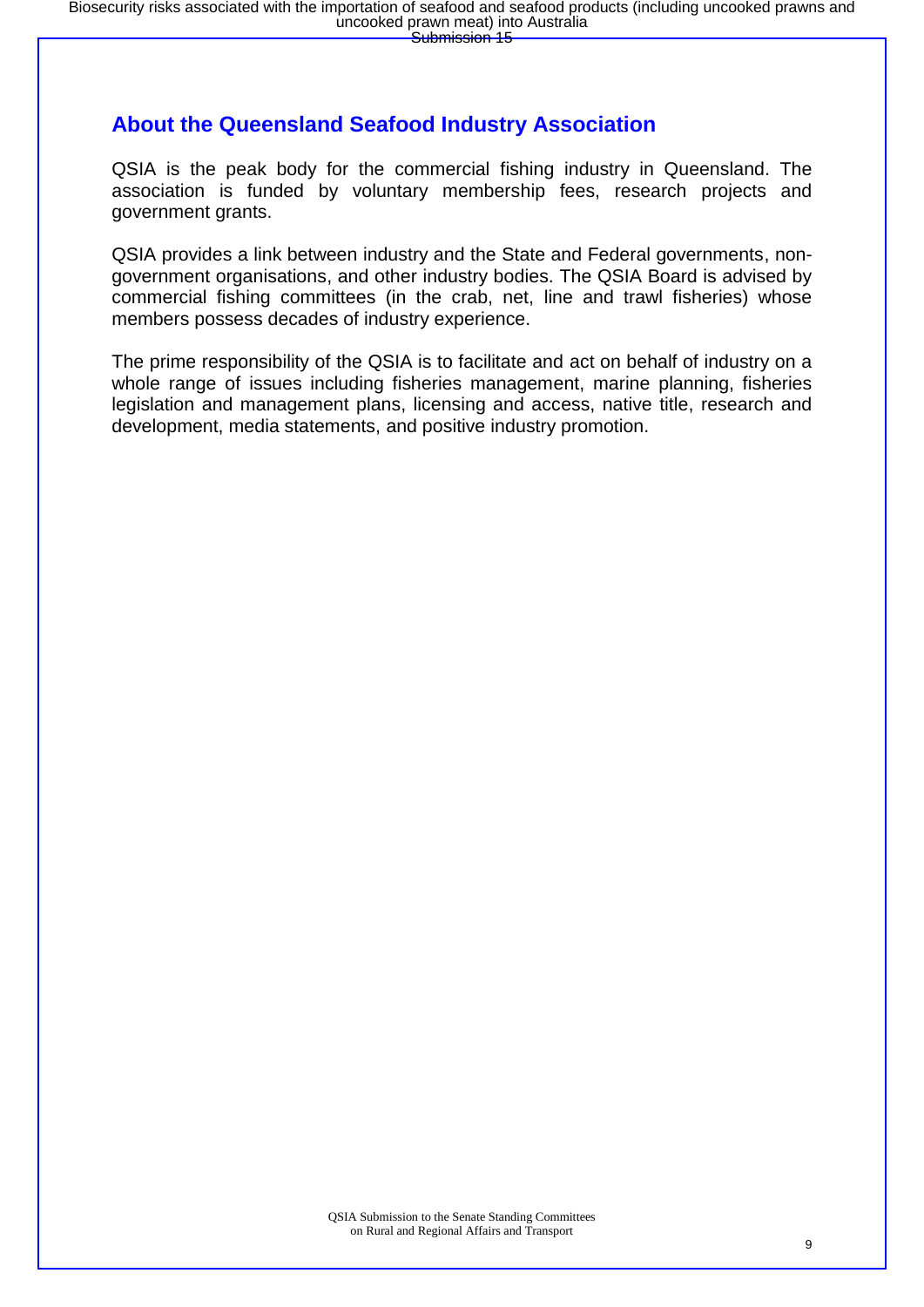### **About the Queensland Seafood Industry Association**

QSIA is the peak body for the commercial fishing industry in Queensland. The association is funded by voluntary membership fees, research projects and government grants.

QSIA provides a link between industry and the State and Federal governments, nongovernment organisations, and other industry bodies. The QSIA Board is advised by commercial fishing committees (in the crab, net, line and trawl fisheries) whose members possess decades of industry experience.

The prime responsibility of the QSIA is to facilitate and act on behalf of industry on a whole range of issues including fisheries management, marine planning, fisheries legislation and management plans, licensing and access, native title, research and development, media statements, and positive industry promotion.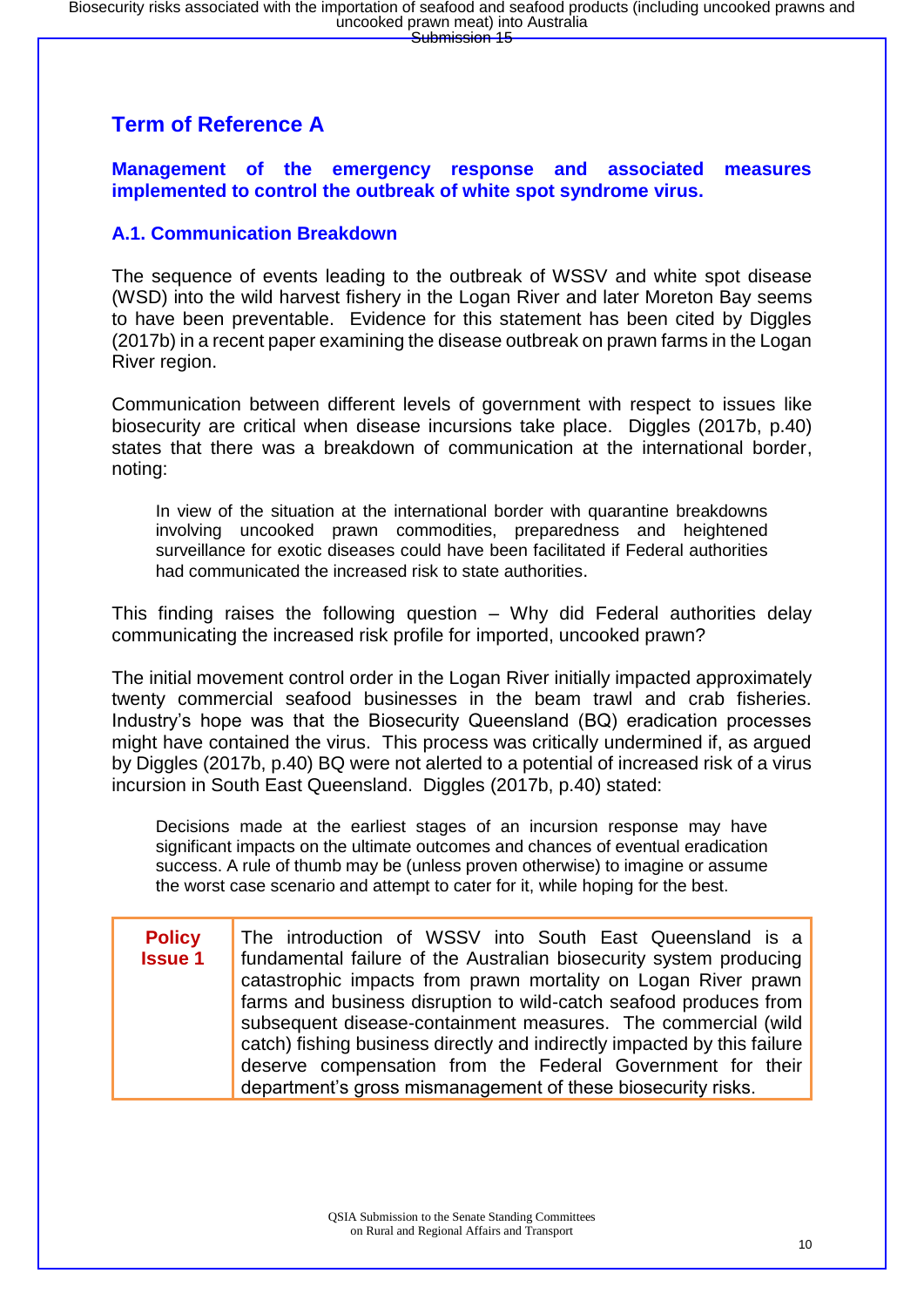### **Term of Reference A**

**Management of the emergency response and associated measures implemented to control the outbreak of white spot syndrome virus.**

#### **A.1. Communication Breakdown**

The sequence of events leading to the outbreak of WSSV and white spot disease (WSD) into the wild harvest fishery in the Logan River and later Moreton Bay seems to have been preventable. Evidence for this statement has been cited by Diggles (2017b) in a recent paper examining the disease outbreak on prawn farms in the Logan River region.

Communication between different levels of government with respect to issues like biosecurity are critical when disease incursions take place. Diggles (2017b, p.40) states that there was a breakdown of communication at the international border, noting:

In view of the situation at the international border with quarantine breakdowns involving uncooked prawn commodities, preparedness and heightened surveillance for exotic diseases could have been facilitated if Federal authorities had communicated the increased risk to state authorities.

This finding raises the following question – Why did Federal authorities delay communicating the increased risk profile for imported, uncooked prawn?

The initial movement control order in the Logan River initially impacted approximately twenty commercial seafood businesses in the beam trawl and crab fisheries. Industry's hope was that the Biosecurity Queensland (BQ) eradication processes might have contained the virus. This process was critically undermined if, as argued by Diggles (2017b, p.40) BQ were not alerted to a potential of increased risk of a virus incursion in South East Queensland. Diggles (2017b, p.40) stated:

Decisions made at the earliest stages of an incursion response may have significant impacts on the ultimate outcomes and chances of eventual eradication success. A rule of thumb may be (unless proven otherwise) to imagine or assume the worst case scenario and attempt to cater for it, while hoping for the best.

| <b>Policy</b>  | The introduction of WSSV into South East Queensland is a                 |
|----------------|--------------------------------------------------------------------------|
| <b>Issue 1</b> | fundamental failure of the Australian biosecurity system producing       |
|                | catastrophic impacts from prawn mortality on Logan River prawn           |
|                | farms and business disruption to wild-catch seafood produces from        |
|                | subsequent disease-containment measures. The commercial (wild            |
|                | catch) fishing business directly and indirectly impacted by this failure |
|                | deserve compensation from the Federal Government for their               |
|                | department's gross mismanagement of these biosecurity risks.             |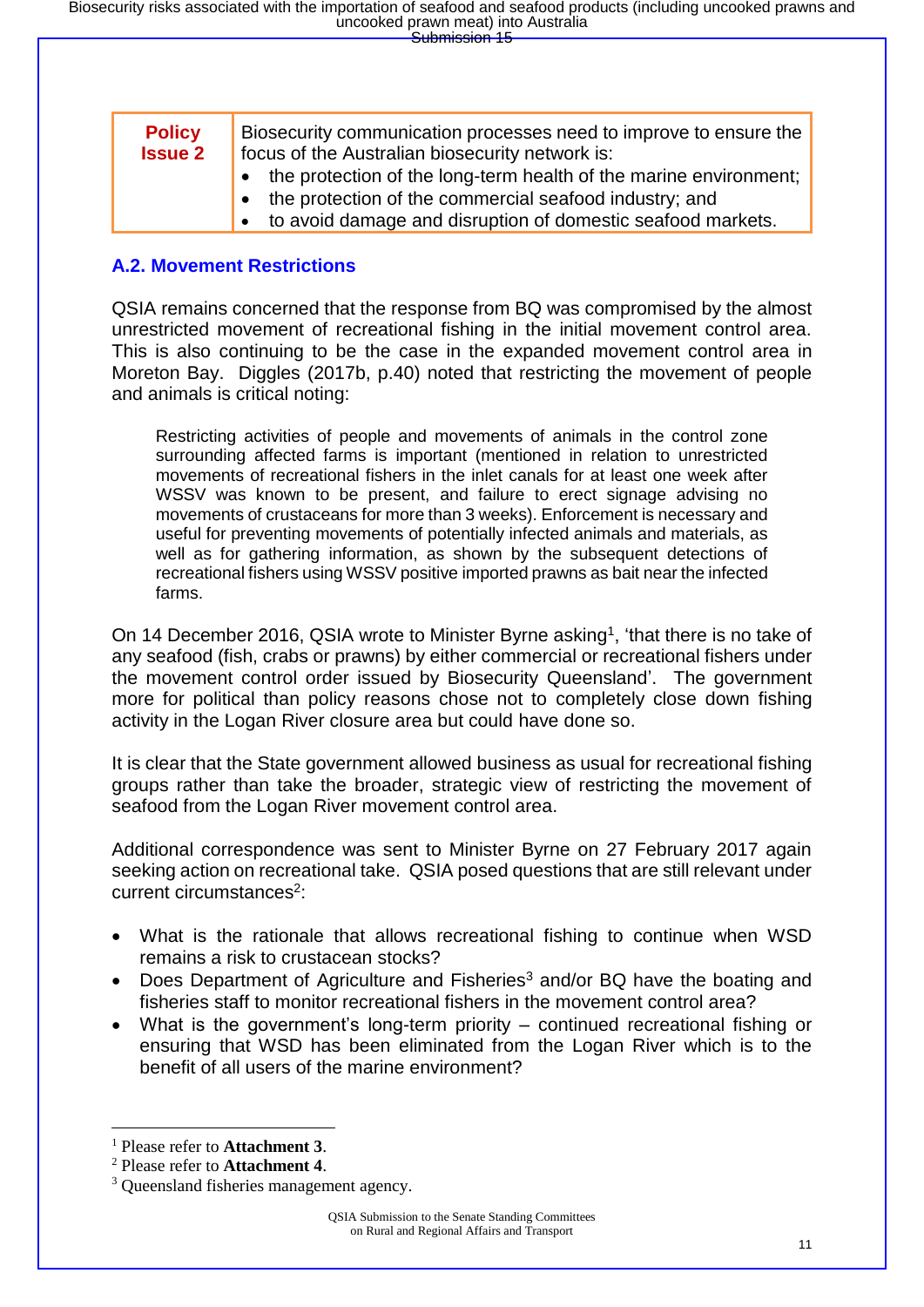| <b>Policy</b><br><b>Issue 2</b> | Biosecurity communication processes need to improve to ensure the<br>focus of the Australian biosecurity network is: |  |  |  |  |
|---------------------------------|----------------------------------------------------------------------------------------------------------------------|--|--|--|--|
|                                 | • the protection of the long-term health of the marine environment;                                                  |  |  |  |  |
|                                 | • the protection of the commercial seafood industry; and                                                             |  |  |  |  |
|                                 | • to avoid damage and disruption of domestic seafood markets.                                                        |  |  |  |  |

#### **A.2. Movement Restrictions**

QSIA remains concerned that the response from BQ was compromised by the almost unrestricted movement of recreational fishing in the initial movement control area. This is also continuing to be the case in the expanded movement control area in Moreton Bay. Diggles (2017b, p.40) noted that restricting the movement of people and animals is critical noting:

Restricting activities of people and movements of animals in the control zone surrounding affected farms is important (mentioned in relation to unrestricted movements of recreational fishers in the inlet canals for at least one week after WSSV was known to be present, and failure to erect signage advising no movements of crustaceans for more than 3 weeks). Enforcement is necessary and useful for preventing movements of potentially infected animals and materials, as well as for gathering information, as shown by the subsequent detections of recreational fishers using WSSV positive imported prawns as bait near the infected farms.

On 14 December 2016, QSIA wrote to Minister Byrne asking<sup>1</sup>, 'that there is no take of any seafood (fish, crabs or prawns) by either commercial or recreational fishers under the movement control order issued by Biosecurity Queensland'. The government more for political than policy reasons chose not to completely close down fishing activity in the Logan River closure area but could have done so.

It is clear that the State government allowed business as usual for recreational fishing groups rather than take the broader, strategic view of restricting the movement of seafood from the Logan River movement control area.

Additional correspondence was sent to Minister Byrne on 27 February 2017 again seeking action on recreational take. QSIA posed questions that are still relevant under current circumstances<sup>2</sup>:

- What is the rationale that allows recreational fishing to continue when WSD remains a risk to crustacean stocks?
- Does Department of Agriculture and Fisheries<sup>3</sup> and/or BQ have the boating and fisheries staff to monitor recreational fishers in the movement control area?
- What is the government's long-term priority continued recreational fishing or ensuring that WSD has been eliminated from the Logan River which is to the benefit of all users of the marine environment?

<sup>1</sup> Please refer to **Attachment 3**.

<sup>2</sup> Please refer to **Attachment 4**.

<sup>&</sup>lt;sup>3</sup> Oueensland fisheries management agency.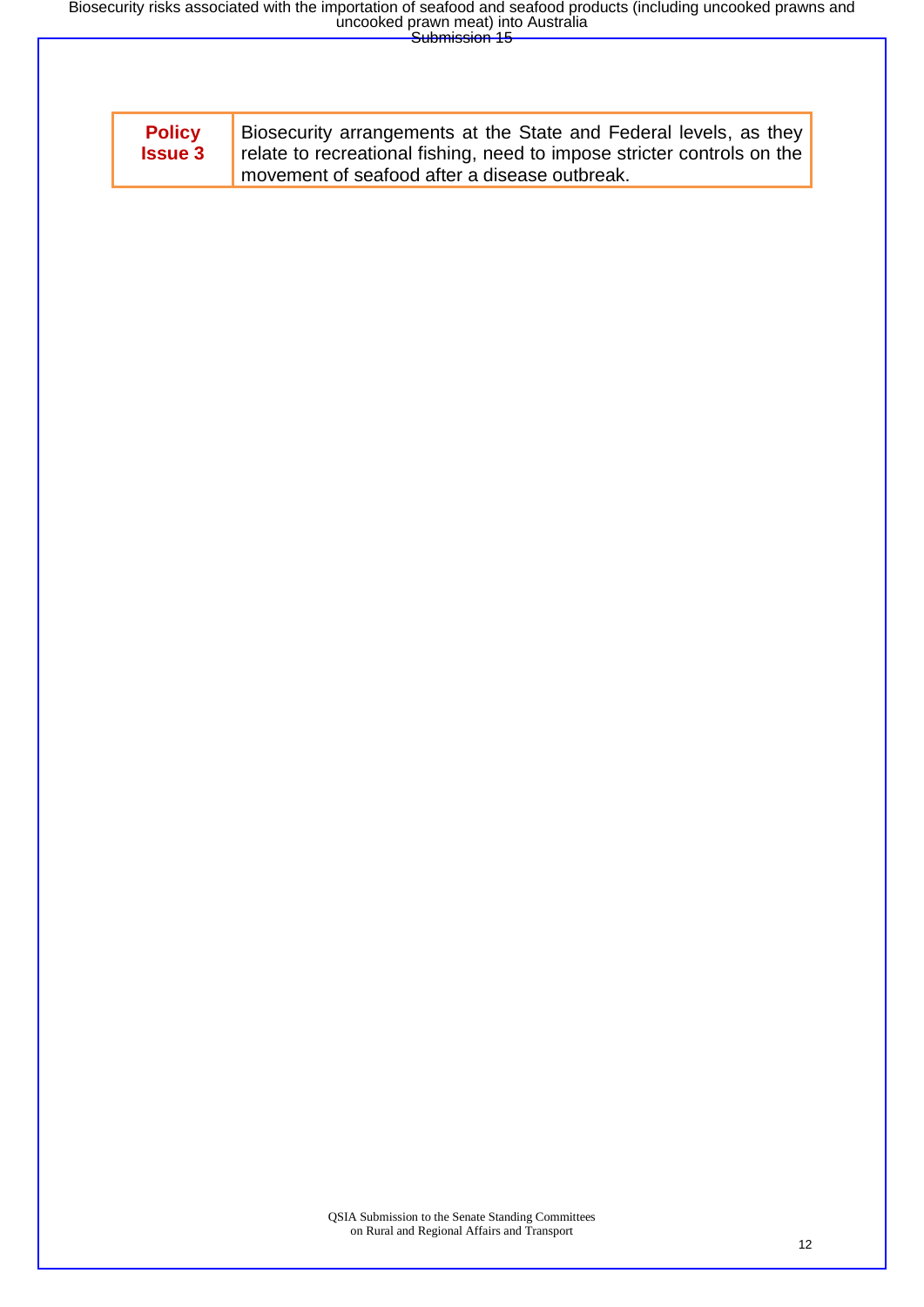| <b>Policy</b><br><b>Issue 3</b> | Biosecurity arrangements at the State and Federal levels, as they<br>relate to recreational fishing, need to impose stricter controls on the<br>movement of seafood after a disease outbreak. |
|---------------------------------|-----------------------------------------------------------------------------------------------------------------------------------------------------------------------------------------------|
|                                 |                                                                                                                                                                                               |
|                                 |                                                                                                                                                                                               |
|                                 |                                                                                                                                                                                               |
|                                 |                                                                                                                                                                                               |
|                                 |                                                                                                                                                                                               |
|                                 |                                                                                                                                                                                               |
|                                 |                                                                                                                                                                                               |
|                                 |                                                                                                                                                                                               |
|                                 |                                                                                                                                                                                               |
|                                 |                                                                                                                                                                                               |
|                                 |                                                                                                                                                                                               |
|                                 |                                                                                                                                                                                               |
|                                 |                                                                                                                                                                                               |
|                                 |                                                                                                                                                                                               |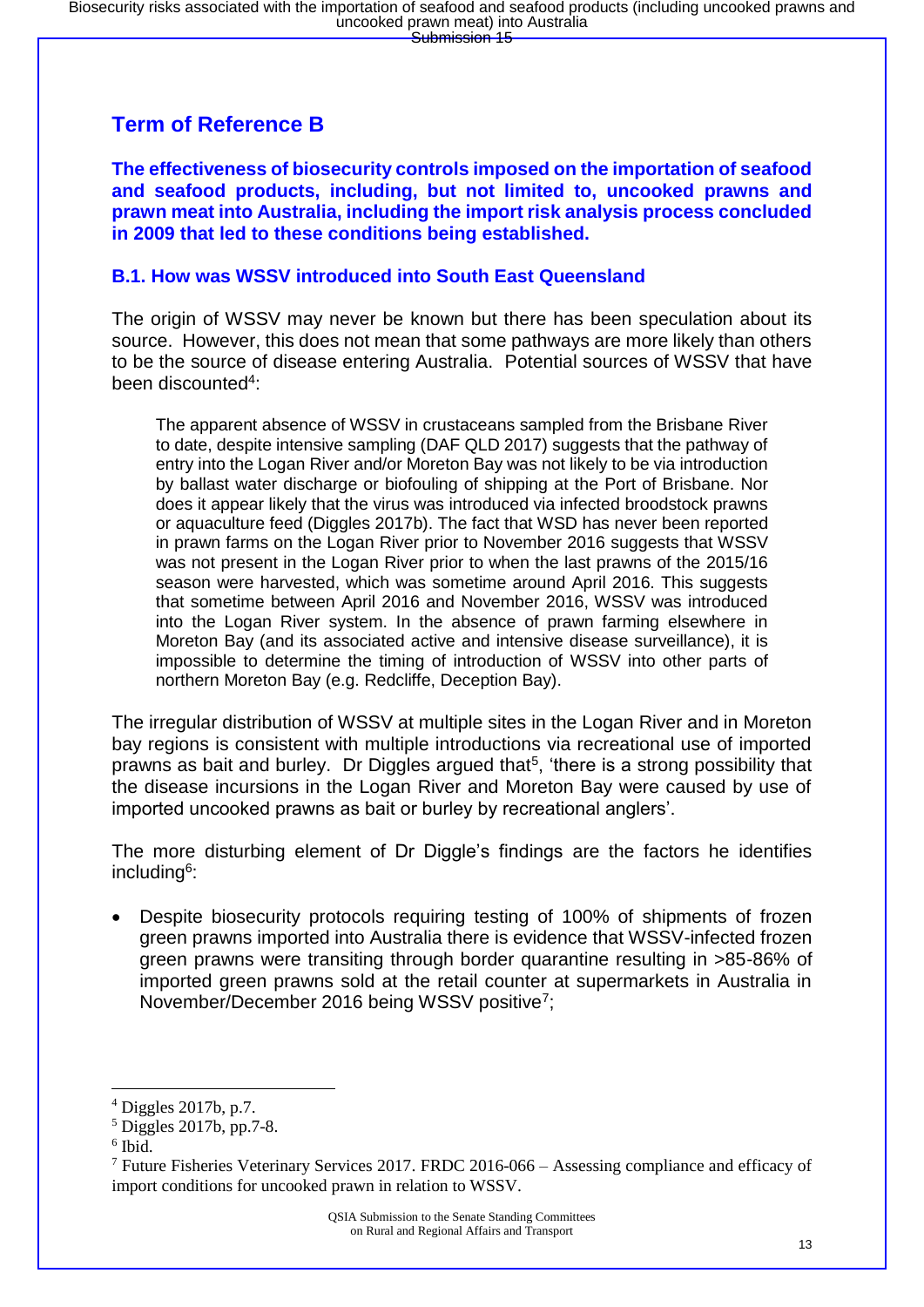### **Term of Reference B**

**The effectiveness of biosecurity controls imposed on the importation of seafood and seafood products, including, but not limited to, uncooked prawns and prawn meat into Australia, including the import risk analysis process concluded in 2009 that led to these conditions being established.**

#### **B.1. How was WSSV introduced into South East Queensland**

The origin of WSSV may never be known but there has been speculation about its source. However, this does not mean that some pathways are more likely than others to be the source of disease entering Australia. Potential sources of WSSV that have been discounted<sup>4</sup>:

The apparent absence of WSSV in crustaceans sampled from the Brisbane River to date, despite intensive sampling (DAF QLD 2017) suggests that the pathway of entry into the Logan River and/or Moreton Bay was not likely to be via introduction by ballast water discharge or biofouling of shipping at the Port of Brisbane. Nor does it appear likely that the virus was introduced via infected broodstock prawns or aquaculture feed (Diggles 2017b). The fact that WSD has never been reported in prawn farms on the Logan River prior to November 2016 suggests that WSSV was not present in the Logan River prior to when the last prawns of the 2015/16 season were harvested, which was sometime around April 2016. This suggests that sometime between April 2016 and November 2016, WSSV was introduced into the Logan River system. In the absence of prawn farming elsewhere in Moreton Bay (and its associated active and intensive disease surveillance), it is impossible to determine the timing of introduction of WSSV into other parts of northern Moreton Bay (e.g. Redcliffe, Deception Bay).

The irregular distribution of WSSV at multiple sites in the Logan River and in Moreton bay regions is consistent with multiple introductions via recreational use of imported prawns as bait and burley. Dr Diggles argued that<sup>5</sup>, 'there is a strong possibility that the disease incursions in the Logan River and Moreton Bay were caused by use of imported uncooked prawns as bait or burley by recreational anglers'.

The more disturbing element of Dr Diggle's findings are the factors he identifies including<sup>6</sup>:

Despite biosecurity protocols requiring testing of 100% of shipments of frozen green prawns imported into Australia there is evidence that WSSV-infected frozen green prawns were transiting through border quarantine resulting in >85-86% of imported green prawns sold at the retail counter at supermarkets in Australia in November/December 2016 being WSSV positive<sup>7</sup>;

<sup>4</sup> Diggles 2017b, p.7.

 $<sup>5</sup>$  Diggles 2017b, pp.7-8.</sup>

<sup>6</sup> Ibid.

<sup>7</sup> Future Fisheries Veterinary Services 2017. FRDC 2016-066 – Assessing compliance and efficacy of import conditions for uncooked prawn in relation to WSSV.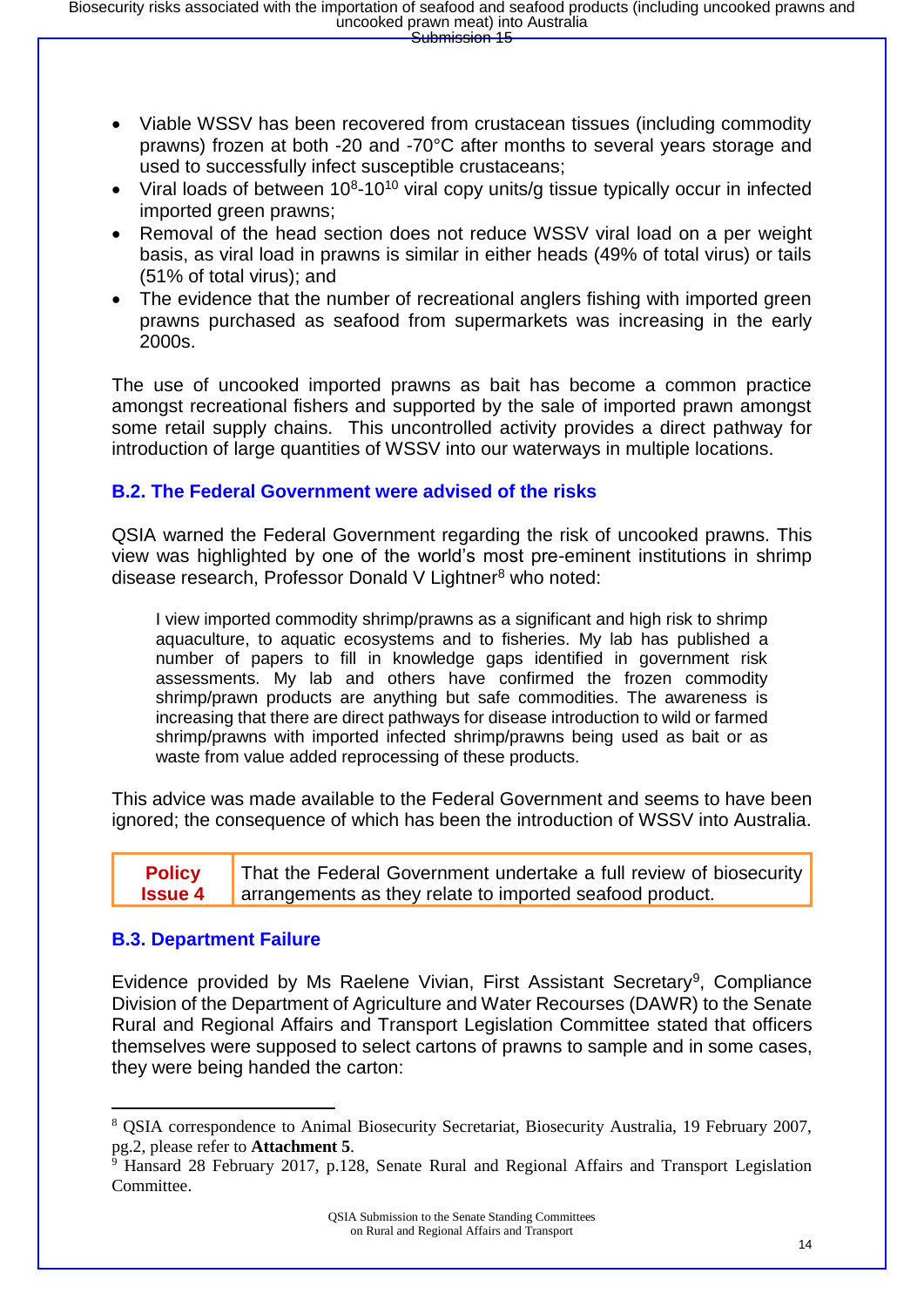- Viable WSSV has been recovered from crustacean tissues (including commodity prawns) frozen at both -20 and -70°C after months to several years storage and used to successfully infect susceptible crustaceans;
- Viral loads of between  $10^8$ -10<sup>10</sup> viral copy units/g tissue typically occur in infected imported green prawns;
- Removal of the head section does not reduce WSSV viral load on a per weight basis, as viral load in prawns is similar in either heads (49% of total virus) or tails (51% of total virus); and
- The evidence that the number of recreational anglers fishing with imported green prawns purchased as seafood from supermarkets was increasing in the early 2000s.

The use of uncooked imported prawns as bait has become a common practice amongst recreational fishers and supported by the sale of imported prawn amongst some retail supply chains. This uncontrolled activity provides a direct pathway for introduction of large quantities of WSSV into our waterways in multiple locations.

#### **B.2. The Federal Government were advised of the risks**

QSIA warned the Federal Government regarding the risk of uncooked prawns. This view was highlighted by one of the world's most pre-eminent institutions in shrimp disease research, Professor Donald V Lightner<sup>8</sup> who noted:

I view imported commodity shrimp/prawns as a significant and high risk to shrimp aquaculture, to aquatic ecosystems and to fisheries. My lab has published a number of papers to fill in knowledge gaps identified in government risk assessments. My lab and others have confirmed the frozen commodity shrimp/prawn products are anything but safe commodities. The awareness is increasing that there are direct pathways for disease introduction to wild or farmed shrimp/prawns with imported infected shrimp/prawns being used as bait or as waste from value added reprocessing of these products.

This advice was made available to the Federal Government and seems to have been ignored; the consequence of which has been the introduction of WSSV into Australia.

**Policy Issue 4** That the Federal Government undertake a full review of biosecurity arrangements as they relate to imported seafood product.

#### **B.3. Department Failure**

**.** 

Evidence provided by Ms Raelene Vivian, First Assistant Secretary<sup>9</sup>, Compliance Division of the Department of Agriculture and Water Recourses (DAWR) to the Senate Rural and Regional Affairs and Transport Legislation Committee stated that officers themselves were supposed to select cartons of prawns to sample and in some cases, they were being handed the carton:

<sup>8</sup> QSIA correspondence to Animal Biosecurity Secretariat, Biosecurity Australia, 19 February 2007, pg.2, please refer to **Attachment 5**.

<sup>9</sup> Hansard 28 February 2017, p.128, Senate Rural and Regional Affairs and Transport Legislation Committee.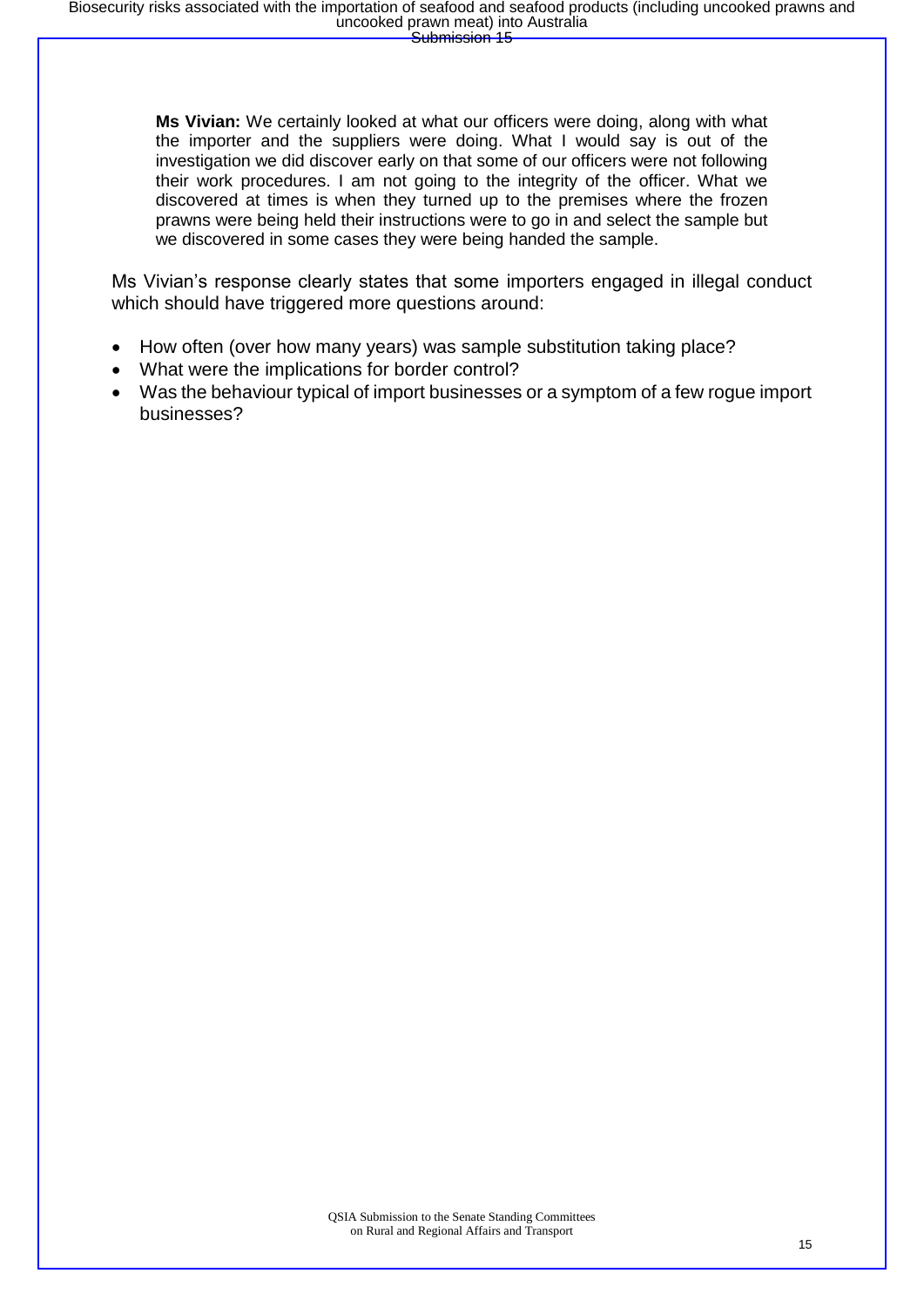**Ms Vivian:** We certainly looked at what our officers were doing, along with what the importer and the suppliers were doing. What I would say is out of the investigation we did discover early on that some of our officers were not following their work procedures. I am not going to the integrity of the officer. What we discovered at times is when they turned up to the premises where the frozen prawns were being held their instructions were to go in and select the sample but we discovered in some cases they were being handed the sample.

Ms Vivian's response clearly states that some importers engaged in illegal conduct which should have triggered more questions around:

- How often (over how many years) was sample substitution taking place?
- What were the implications for border control?
- Was the behaviour typical of import businesses or a symptom of a few rogue import businesses?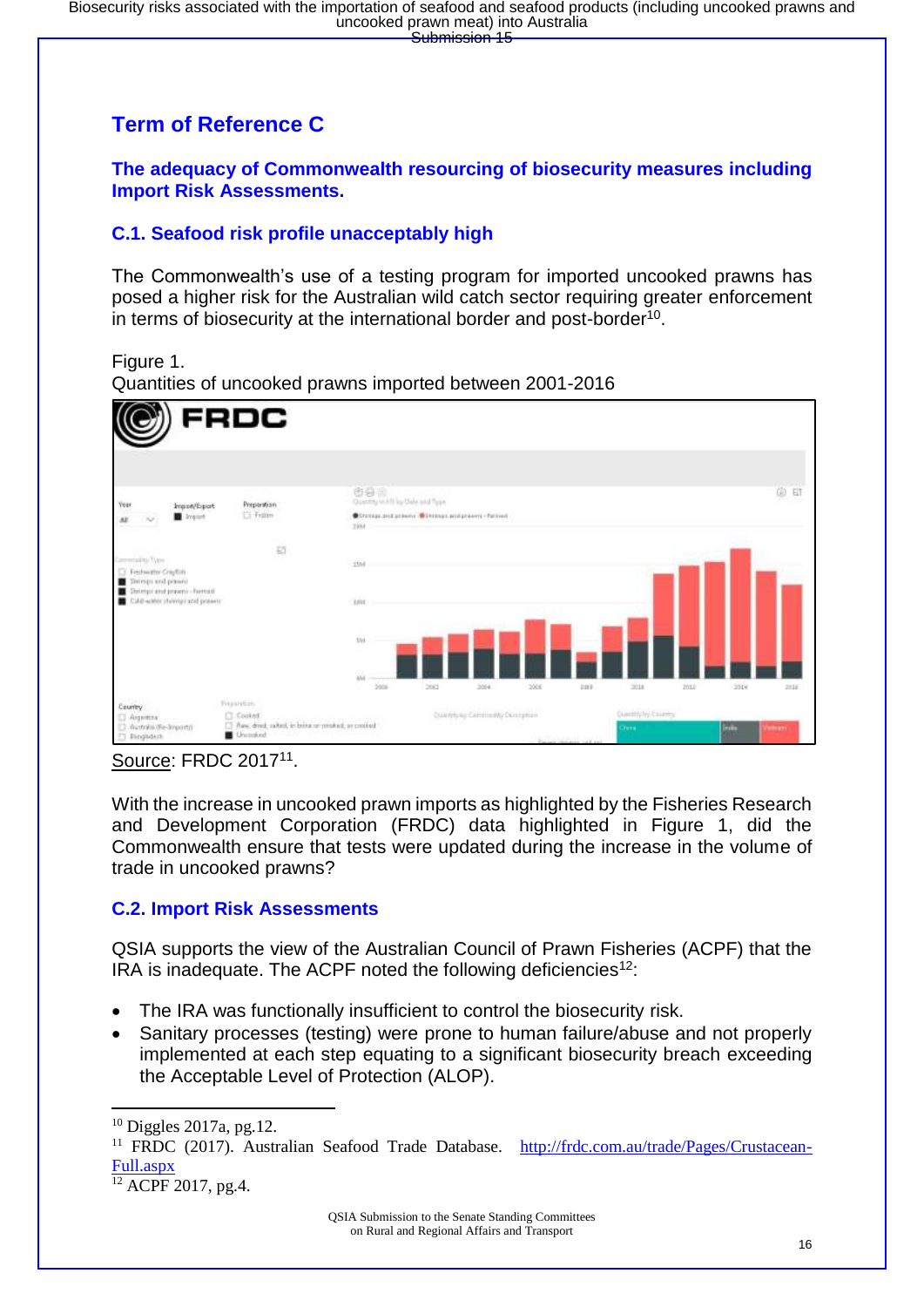### **Term of Reference C**

**The adequacy of Commonwealth resourcing of biosecurity measures including Import Risk Assessments.**

#### **C.1. Seafood risk profile unacceptably high**

The Commonwealth's use of a testing program for imported uncooked prawns has posed a higher risk for the Australian wild catch sector requiring greater enforcement in terms of biosecurity at the international border and post-border<sup>10</sup>.

Figure 1.

Quantities of uncooked prawns imported between 2001-2016



Source: FRDC 2017<sup>11</sup>.

With the increase in uncooked prawn imports as highlighted by the Fisheries Research and Development Corporation (FRDC) data highlighted in Figure 1, did the Commonwealth ensure that tests were updated during the increase in the volume of trade in uncooked prawns?

#### **C.2. Import Risk Assessments**

QSIA supports the view of the Australian Council of Prawn Fisheries (ACPF) that the IRA is inadequate. The ACPF noted the following deficiencies<sup>12</sup>:

- The IRA was functionally insufficient to control the biosecurity risk.
- Sanitary processes (testing) were prone to human failure/abuse and not properly implemented at each step equating to a significant biosecurity breach exceeding the Acceptable Level of Protection (ALOP).

**.** 

 $10$  Diggles 2017a, pg.12.

<sup>11</sup> FRDC (2017). Australian Seafood Trade Database. [http://frdc.com.au/trade/Pages/Crustacean-](http://frdc.com.au/trade/Pages/Crustacean-Full.aspx)[Full.aspx](http://frdc.com.au/trade/Pages/Crustacean-Full.aspx)

 $12$  ACPF 2017, pg.4.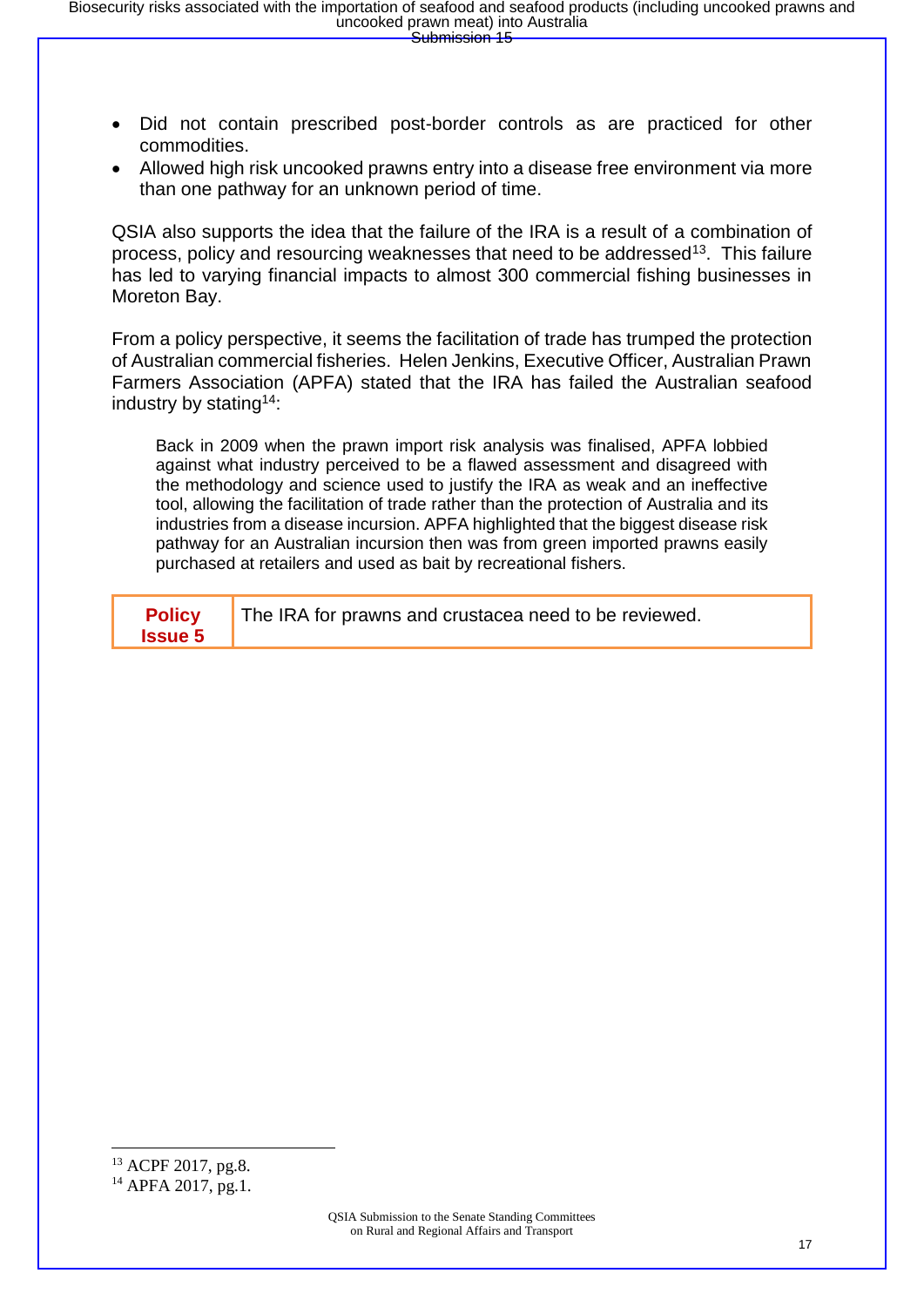- Did not contain prescribed post-border controls as are practiced for other commodities.
- Allowed high risk uncooked prawns entry into a disease free environment via more than one pathway for an unknown period of time.

QSIA also supports the idea that the failure of the IRA is a result of a combination of process, policy and resourcing weaknesses that need to be addressed<sup>13</sup>. This failure has led to varying financial impacts to almost 300 commercial fishing businesses in Moreton Bay.

From a policy perspective, it seems the facilitation of trade has trumped the protection of Australian commercial fisheries. Helen Jenkins, Executive Officer, Australian Prawn Farmers Association (APFA) stated that the IRA has failed the Australian seafood industry by stating<sup>14</sup>:

Back in 2009 when the prawn import risk analysis was finalised, APFA lobbied against what industry perceived to be a flawed assessment and disagreed with the methodology and science used to justify the IRA as weak and an ineffective tool, allowing the facilitation of trade rather than the protection of Australia and its industries from a disease incursion. APFA highlighted that the biggest disease risk pathway for an Australian incursion then was from green imported prawns easily purchased at retailers and used as bait by recreational fishers.

| <b>Issue 5</b> | <b>Policy</b><br>The IRA for prawns and crustacea need to be reviewed. |
|----------------|------------------------------------------------------------------------|
|----------------|------------------------------------------------------------------------|

1

<sup>13</sup> ACPF 2017, pg.8.

<sup>&</sup>lt;sup>14</sup> APFA 2017, pg.1.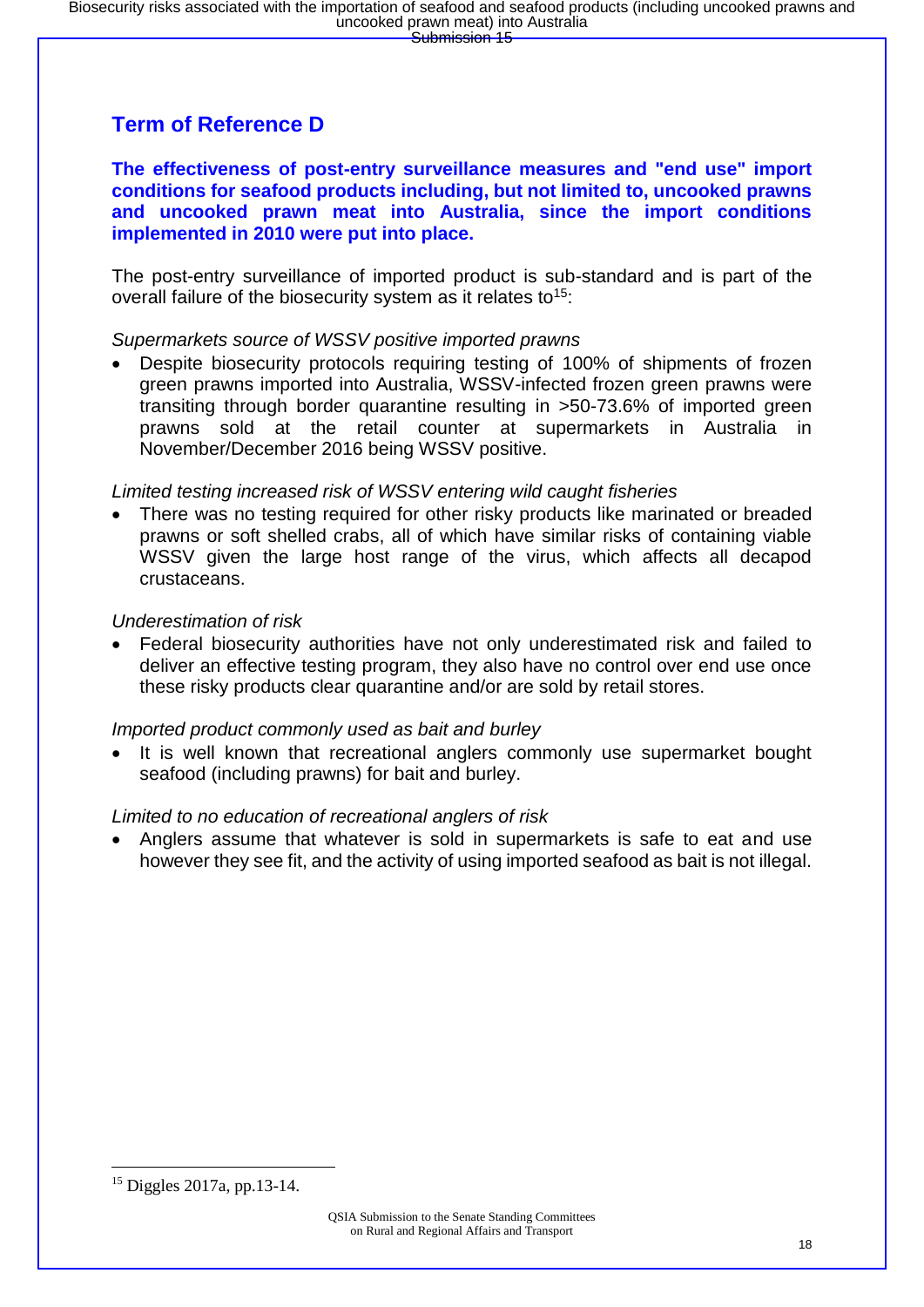### **Term of Reference D**

**The effectiveness of post-entry surveillance measures and "end use" import conditions for seafood products including, but not limited to, uncooked prawns and uncooked prawn meat into Australia, since the import conditions implemented in 2010 were put into place.**

The post-entry surveillance of imported product is sub-standard and is part of the overall failure of the biosecurity system as it relates to<sup>15</sup>:

#### *Supermarkets source of WSSV positive imported prawns*

• Despite biosecurity protocols requiring testing of 100% of shipments of frozen green prawns imported into Australia, WSSV-infected frozen green prawns were transiting through border quarantine resulting in >50-73.6% of imported green prawns sold at the retail counter at supermarkets in Australia in November/December 2016 being WSSV positive.

#### *Limited testing increased risk of WSSV entering wild caught fisheries*

There was no testing required for other risky products like marinated or breaded prawns or soft shelled crabs, all of which have similar risks of containing viable WSSV given the large host range of the virus, which affects all decapod crustaceans.

#### *Underestimation of risk*

• Federal biosecurity authorities have not only underestimated risk and failed to deliver an effective testing program, they also have no control over end use once these risky products clear quarantine and/or are sold by retail stores.

#### *Imported product commonly used as bait and burley*

It is well known that recreational anglers commonly use supermarket bought seafood (including prawns) for bait and burley.

#### *Limited to no education of recreational anglers of risk*

• Anglers assume that whatever is sold in supermarkets is safe to eat and use however they see fit, and the activity of using imported seafood as bait is not illegal.

<sup>15</sup> Diggles 2017a, pp.13-14.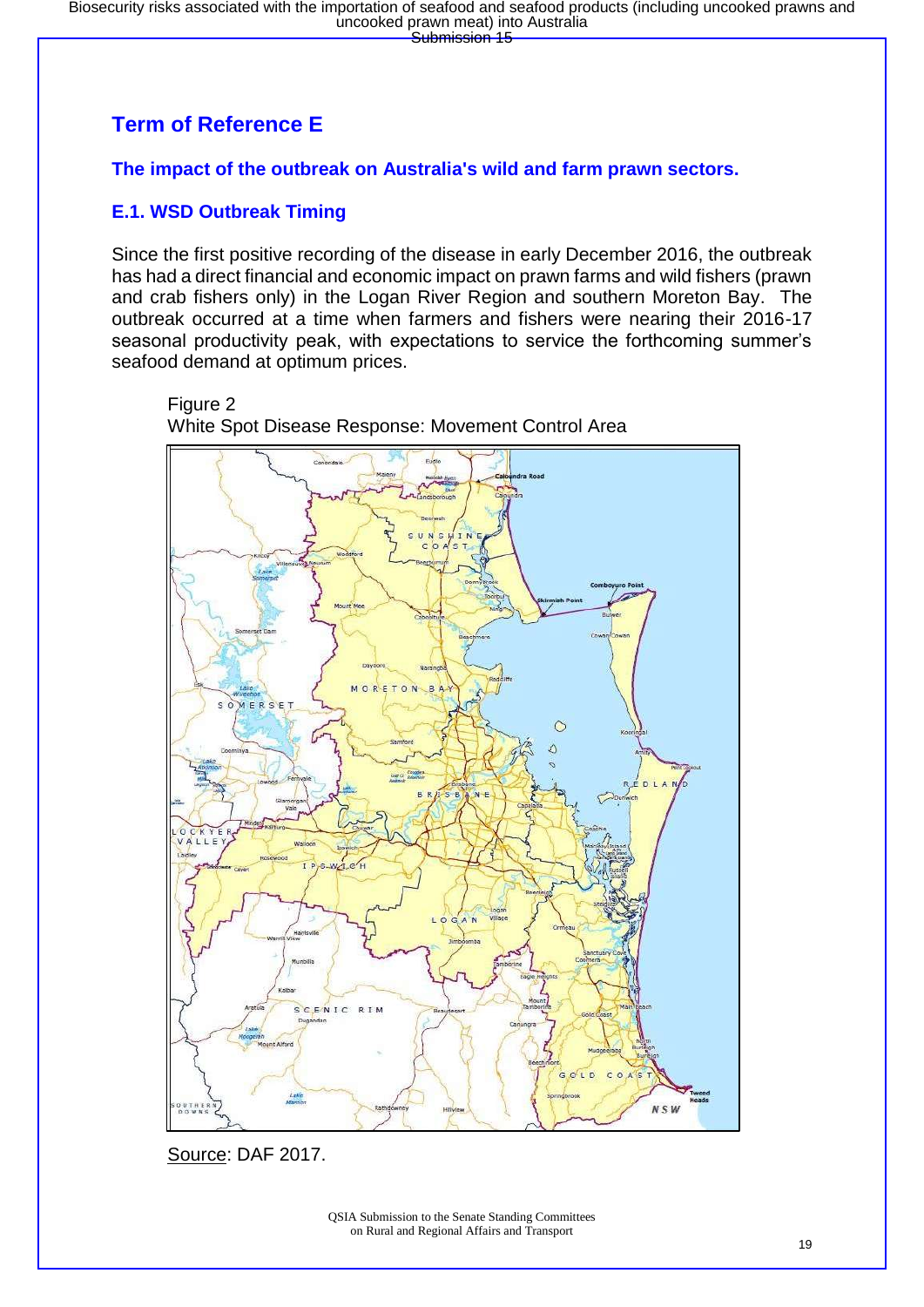## **Term of Reference E**

**The impact of the outbreak on Australia's wild and farm prawn sectors.**

### **E.1. WSD Outbreak Timing**

Since the first positive recording of the disease in early December 2016, the outbreak has had a direct financial and economic impact on prawn farms and wild fishers (prawn and crab fishers only) in the Logan River Region and southern Moreton Bay. The outbreak occurred at a time when farmers and fishers were nearing their 2016-17 seasonal productivity peak, with expectations to service the forthcoming summer's seafood demand at optimum prices.





White Spot Disease Response: Movement Control Area

Source: DAF 2017.

QSIA Submission to the Senate Standing Committees on Rural and Regional Affairs and Transport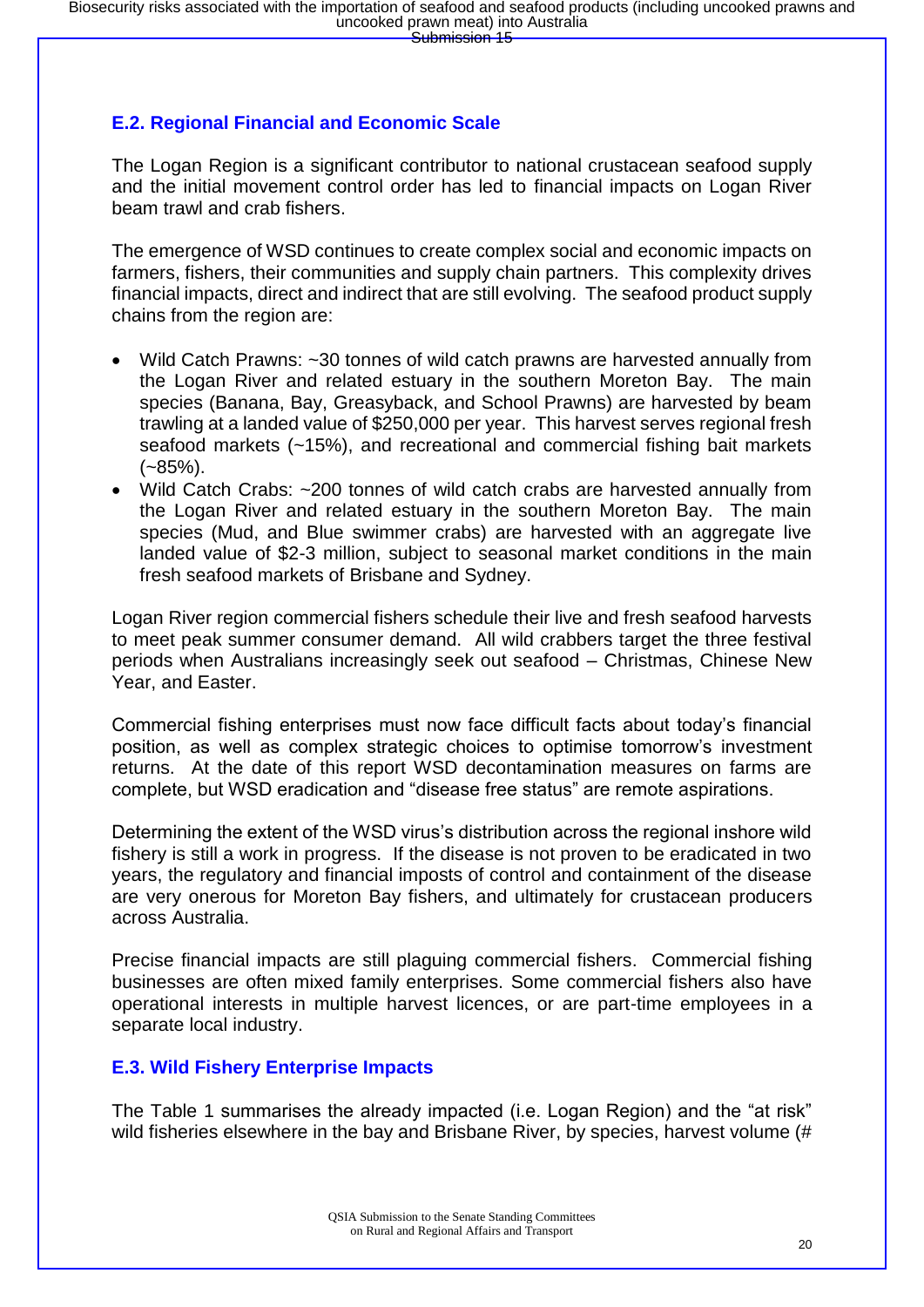#### **E.2. Regional Financial and Economic Scale**

The Logan Region is a significant contributor to national crustacean seafood supply and the initial movement control order has led to financial impacts on Logan River beam trawl and crab fishers.

The emergence of WSD continues to create complex social and economic impacts on farmers, fishers, their communities and supply chain partners. This complexity drives financial impacts, direct and indirect that are still evolving. The seafood product supply chains from the region are:

- Wild Catch Prawns: ~30 tonnes of wild catch prawns are harvested annually from the Logan River and related estuary in the southern Moreton Bay. The main species (Banana, Bay, Greasyback, and School Prawns) are harvested by beam trawling at a landed value of \$250,000 per year. This harvest serves regional fresh seafood markets (~15%), and recreational and commercial fishing bait markets  $(-85\%)$ .
- Wild Catch Crabs: ~200 tonnes of wild catch crabs are harvested annually from the Logan River and related estuary in the southern Moreton Bay. The main species (Mud, and Blue swimmer crabs) are harvested with an aggregate live landed value of \$2-3 million, subject to seasonal market conditions in the main fresh seafood markets of Brisbane and Sydney.

Logan River region commercial fishers schedule their live and fresh seafood harvests to meet peak summer consumer demand. All wild crabbers target the three festival periods when Australians increasingly seek out seafood – Christmas, Chinese New Year, and Easter.

Commercial fishing enterprises must now face difficult facts about today's financial position, as well as complex strategic choices to optimise tomorrow's investment returns. At the date of this report WSD decontamination measures on farms are complete, but WSD eradication and "disease free status" are remote aspirations.

Determining the extent of the WSD virus's distribution across the regional inshore wild fishery is still a work in progress. If the disease is not proven to be eradicated in two years, the regulatory and financial imposts of control and containment of the disease are very onerous for Moreton Bay fishers, and ultimately for crustacean producers across Australia.

Precise financial impacts are still plaguing commercial fishers. Commercial fishing businesses are often mixed family enterprises. Some commercial fishers also have operational interests in multiple harvest licences, or are part-time employees in a separate local industry.

#### **E.3. Wild Fishery Enterprise Impacts**

The Table 1 summarises the already impacted (i.e. Logan Region) and the "at risk" wild fisheries elsewhere in the bay and Brisbane River, by species, harvest volume (#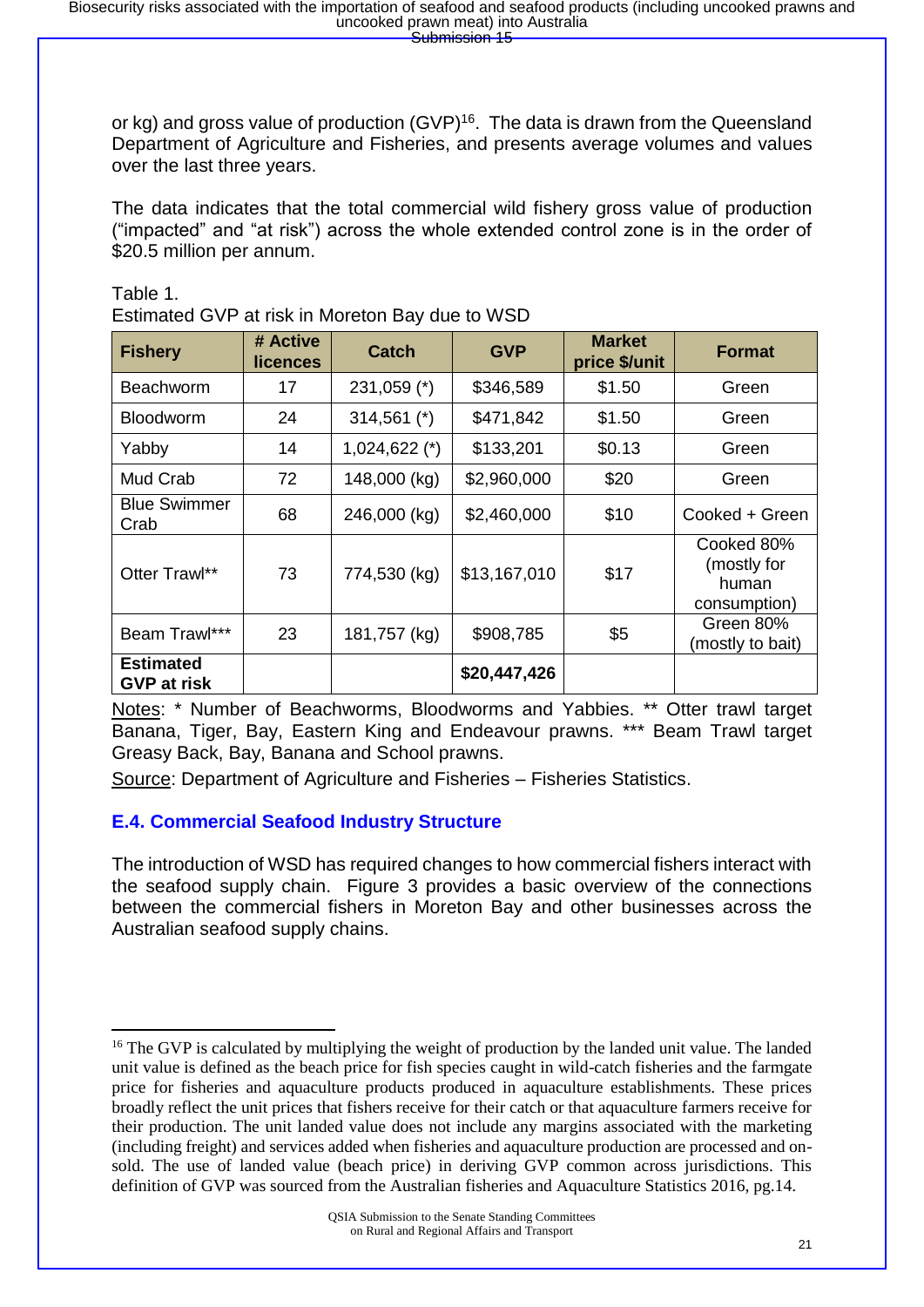or kg) and gross value of production (GVP)<sup>16</sup>. The data is drawn from the Queensland Department of Agriculture and Fisheries, and presents average volumes and values over the last three years.

The data indicates that the total commercial wild fishery gross value of production ("impacted" and "at risk") across the whole extended control zone is in the order of \$20.5 million per annum.

Table 1.

Estimated GVP at risk in Moreton Bay due to WSD

| <b>Fishery</b>                         | # Active<br><b>licences</b> | <b>Catch</b>    | <b>GVP</b>   | <b>Market</b><br>price \$/unit       | <b>Format</b>                                      |  |
|----------------------------------------|-----------------------------|-----------------|--------------|--------------------------------------|----------------------------------------------------|--|
| <b>Beachworm</b>                       | 17                          | $231,059$ (*)   | \$346,589    | \$1.50                               | Green                                              |  |
| <b>Bloodworm</b>                       | 24                          | $314,561$ (*)   | \$471,842    | \$1.50                               | Green                                              |  |
| Yabby                                  | 14                          | $1,024,622$ (*) | \$133,201    | \$0.13                               | Green                                              |  |
| Mud Crab                               | 72                          | 148,000 (kg)    | \$2,960,000  | \$20                                 | Green                                              |  |
| <b>Blue Swimmer</b><br>Crab            | 68                          | 246,000 (kg)    | \$2,460,000  | \$10                                 | Cooked + Green                                     |  |
| Otter Trawl**                          | 73                          | 774,530 (kg)    | \$13,167,010 | \$17                                 | Cooked 80%<br>(mostly for<br>human<br>consumption) |  |
| Beam Trawl***                          | 23                          | 181,757 (kg)    | \$908,785    | Green 80%<br>\$5<br>(mostly to bait) |                                                    |  |
| <b>Estimated</b><br><b>GVP at risk</b> |                             |                 | \$20,447,426 |                                      |                                                    |  |

Notes: \* Number of Beachworms, Bloodworms and Yabbies. \*\* Otter trawl target Banana, Tiger, Bay, Eastern King and Endeavour prawns. \*\*\* Beam Trawl target Greasy Back, Bay, Banana and School prawns.

Source: Department of Agriculture and Fisheries – Fisheries Statistics.

#### **E.4. Commercial Seafood Industry Structure**

The introduction of WSD has required changes to how commercial fishers interact with the seafood supply chain. Figure 3 provides a basic overview of the connections between the commercial fishers in Moreton Bay and other businesses across the Australian seafood supply chains.

**<sup>.</sup>** <sup>16</sup> The GVP is calculated by multiplying the weight of production by the landed unit value. The landed unit value is defined as the beach price for fish species caught in wild-catch fisheries and the farmgate price for fisheries and aquaculture products produced in aquaculture establishments. These prices broadly reflect the unit prices that fishers receive for their catch or that aquaculture farmers receive for their production. The unit landed value does not include any margins associated with the marketing (including freight) and services added when fisheries and aquaculture production are processed and onsold. The use of landed value (beach price) in deriving GVP common across jurisdictions. This definition of GVP was sourced from the Australian fisheries and Aquaculture Statistics 2016, pg.14.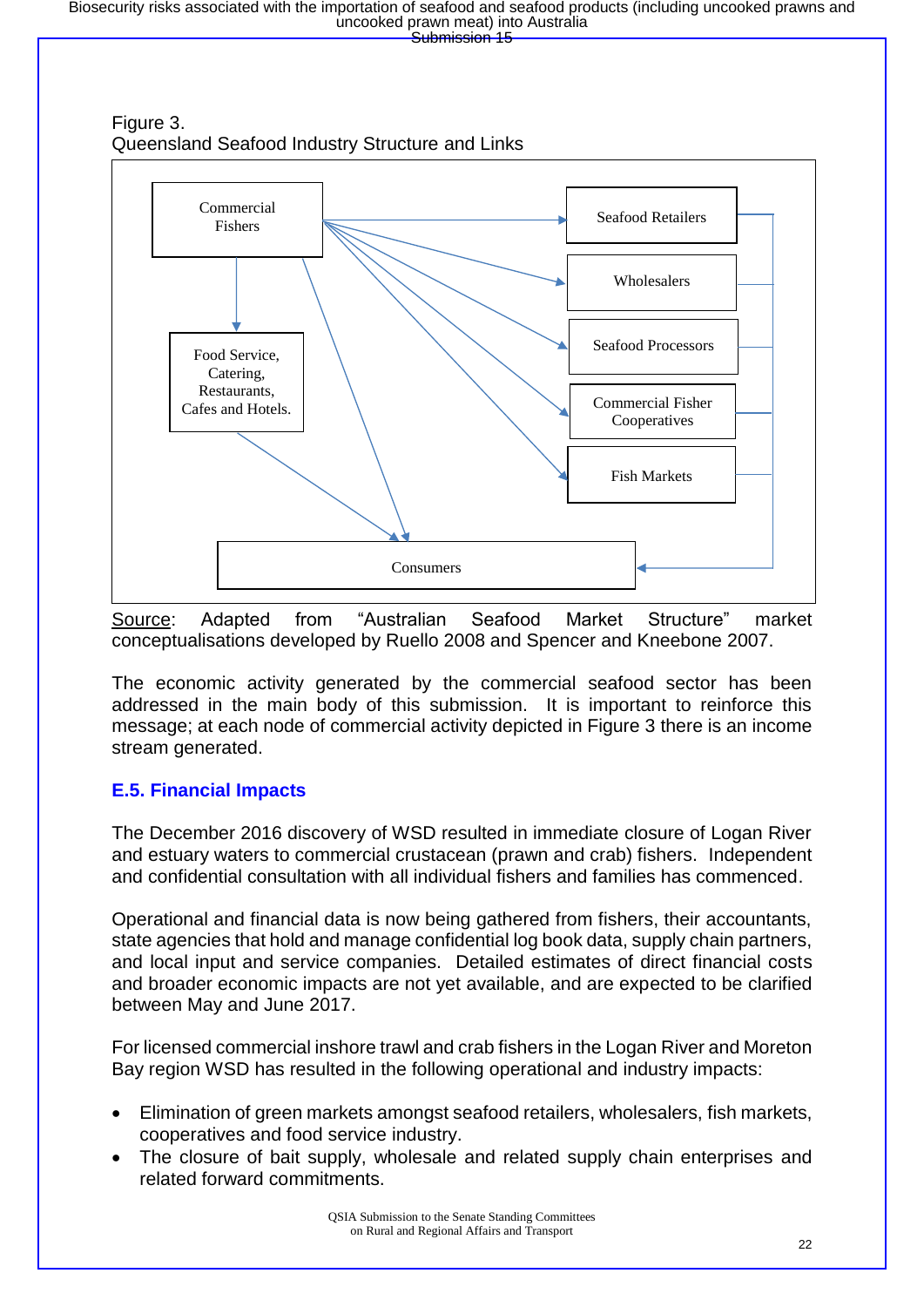



Source: Adapted from "Australian Seafood Market Structure" market conceptualisations developed by Ruello 2008 and Spencer and Kneebone 2007.

The economic activity generated by the commercial seafood sector has been addressed in the main body of this submission. It is important to reinforce this message; at each node of commercial activity depicted in Figure 3 there is an income stream generated.

#### **E.5. Financial Impacts**

The December 2016 discovery of WSD resulted in immediate closure of Logan River and estuary waters to commercial crustacean (prawn and crab) fishers. Independent and confidential consultation with all individual fishers and families has commenced.

Operational and financial data is now being gathered from fishers, their accountants, state agencies that hold and manage confidential log book data, supply chain partners, and local input and service companies. Detailed estimates of direct financial costs and broader economic impacts are not yet available, and are expected to be clarified between May and June 2017.

For licensed commercial inshore trawl and crab fishers in the Logan River and Moreton Bay region WSD has resulted in the following operational and industry impacts:

- Elimination of green markets amongst seafood retailers, wholesalers, fish markets, cooperatives and food service industry.
- The closure of bait supply, wholesale and related supply chain enterprises and related forward commitments.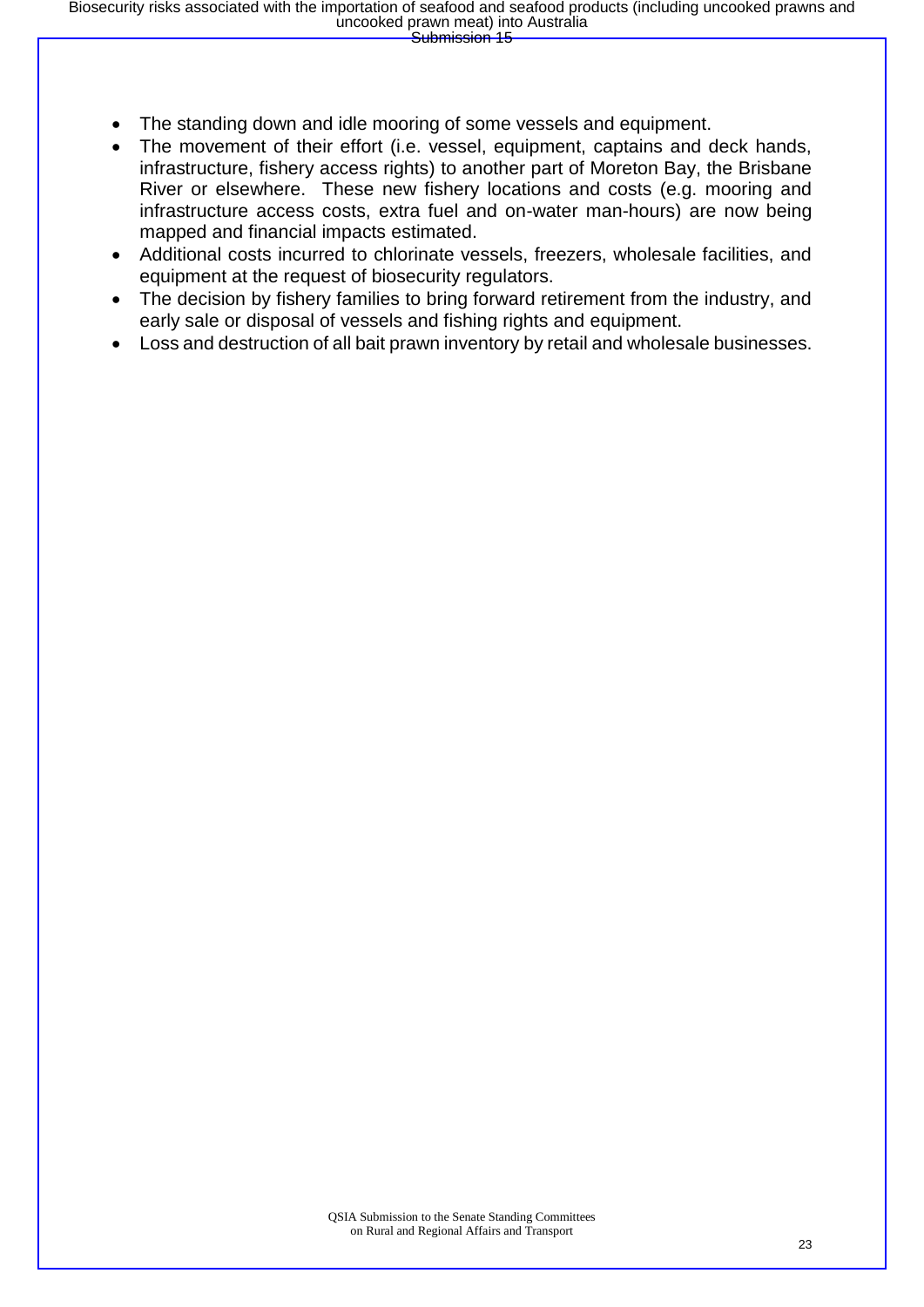- The standing down and idle mooring of some vessels and equipment.
- The movement of their effort (i.e. vessel, equipment, captains and deck hands, infrastructure, fishery access rights) to another part of Moreton Bay, the Brisbane River or elsewhere. These new fishery locations and costs (e.g. mooring and infrastructure access costs, extra fuel and on-water man-hours) are now being mapped and financial impacts estimated.
- Additional costs incurred to chlorinate vessels, freezers, wholesale facilities, and equipment at the request of biosecurity regulators.
- The decision by fishery families to bring forward retirement from the industry, and early sale or disposal of vessels and fishing rights and equipment.
- Loss and destruction of all bait prawn inventory by retail and wholesale businesses.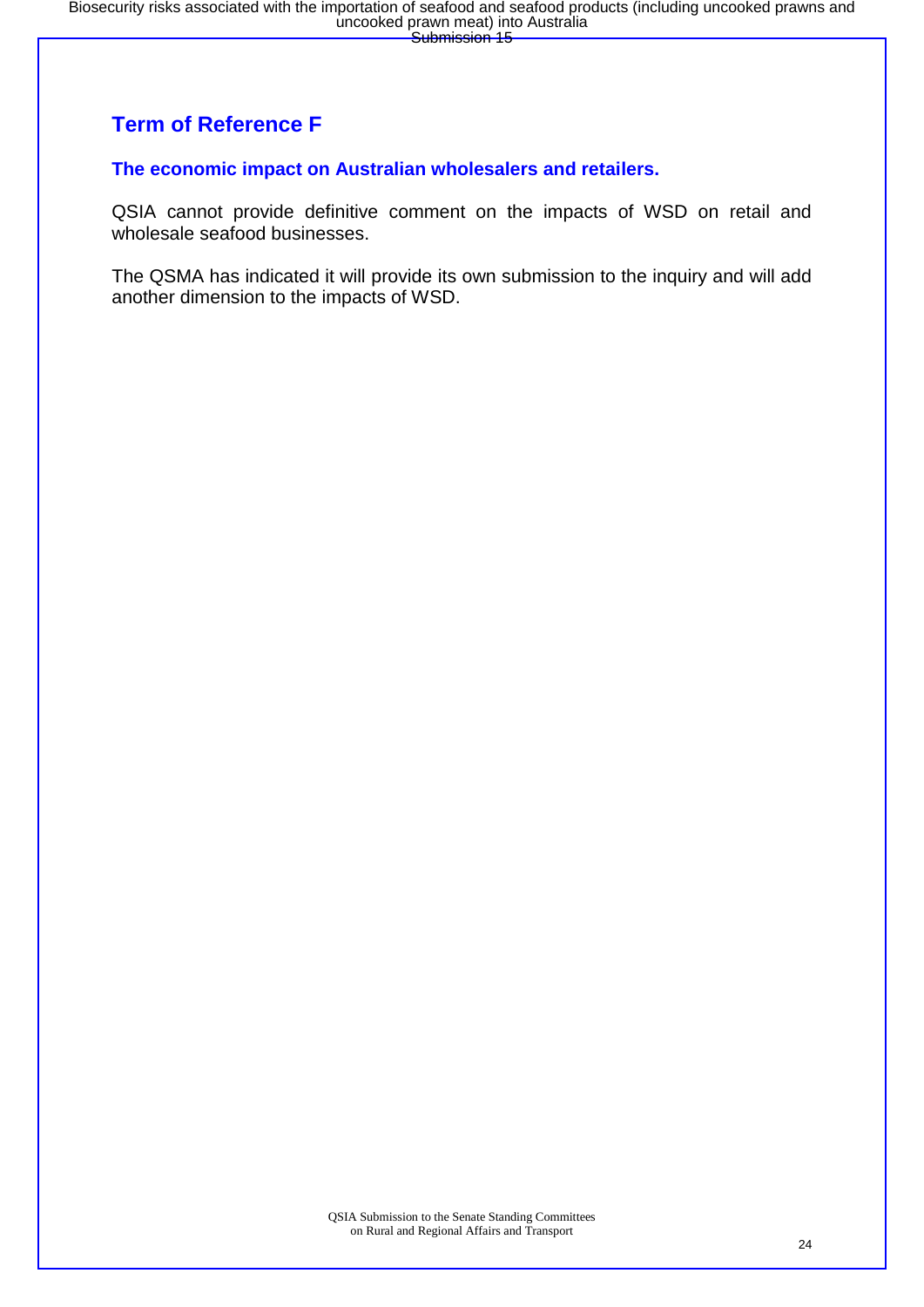### **Term of Reference F**

#### **The economic impact on Australian wholesalers and retailers.**

QSIA cannot provide definitive comment on the impacts of WSD on retail and wholesale seafood businesses.

The QSMA has indicated it will provide its own submission to the inquiry and will add another dimension to the impacts of WSD.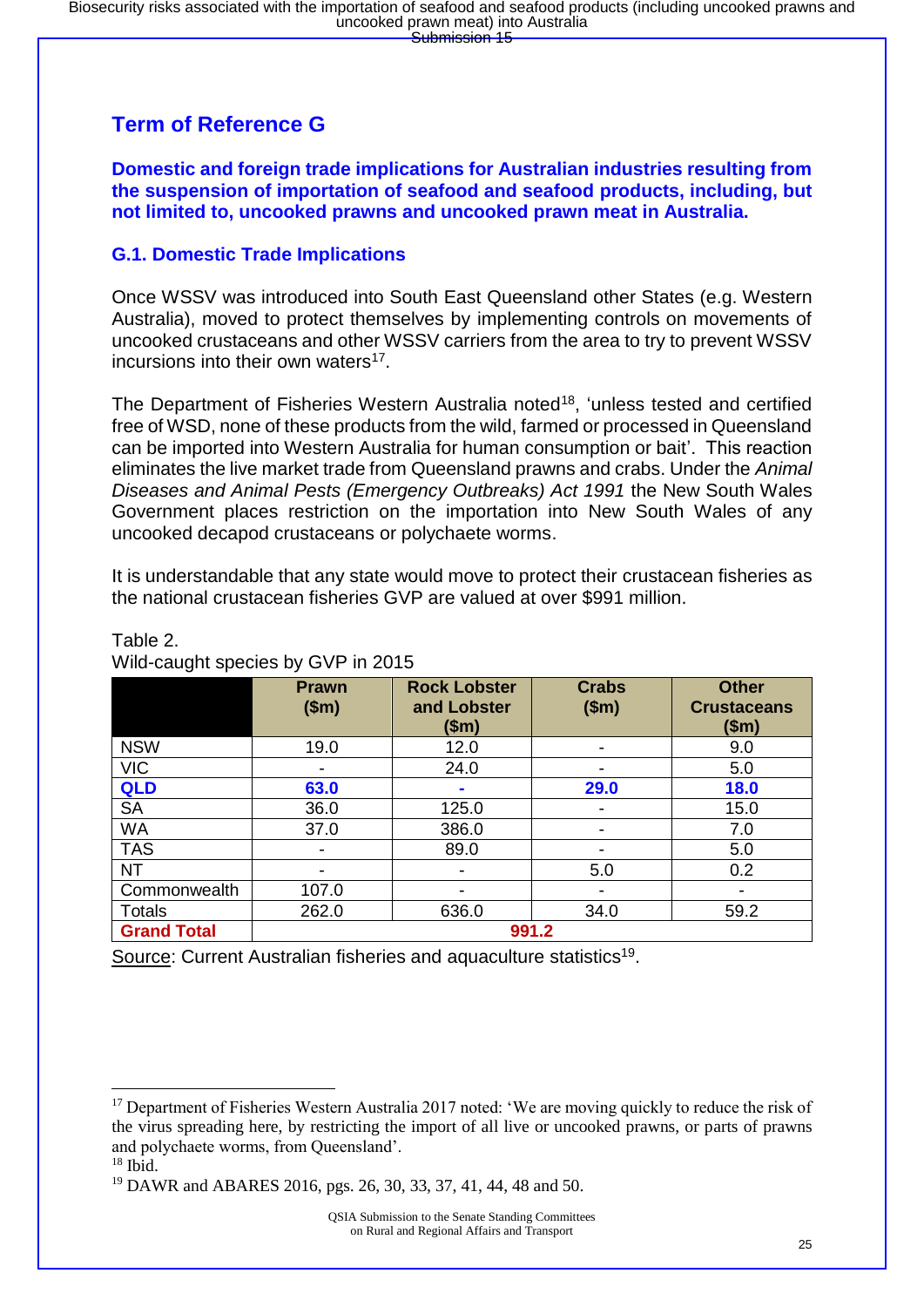### **Term of Reference G**

**Domestic and foreign trade implications for Australian industries resulting from the suspension of importation of seafood and seafood products, including, but not limited to, uncooked prawns and uncooked prawn meat in Australia.**

#### **G.1. Domestic Trade Implications**

Once WSSV was introduced into South East Queensland other States (e.g. Western Australia), moved to protect themselves by implementing controls on movements of uncooked crustaceans and other WSSV carriers from the area to try to prevent WSSV incursions into their own waters<sup>17</sup>.

The Department of Fisheries Western Australia noted<sup>18</sup>, 'unless tested and certified free of WSD, none of these products from the wild, farmed or processed in Queensland can be imported into Western Australia for human consumption or bait'. This reaction eliminates the live market trade from Queensland prawns and crabs. Under the *Animal Diseases and Animal Pests (Emergency Outbreaks) Act 1991* the New South Wales Government places restriction on the importation into New South Wales of any uncooked decapod crustaceans or polychaete worms.

It is understandable that any state would move to protect their crustacean fisheries as the national crustacean fisheries GVP are valued at over \$991 million.

|                    | <b>Prawn</b><br>\$m\$ | <b>Rock Lobster</b><br>and Lobster<br>(\$m) | <b>Crabs</b><br>\$m\$    | <b>Other</b><br><b>Crustaceans</b><br>\$m\$ |
|--------------------|-----------------------|---------------------------------------------|--------------------------|---------------------------------------------|
| <b>NSW</b>         | 19.0                  | 12.0                                        | -                        | 9.0                                         |
| <b>VIC</b>         | ۰                     | 24.0                                        |                          | 5.0                                         |
| <b>QLD</b>         | 63.0                  | $\blacksquare$                              | 29.0                     | 18.0                                        |
| <b>SA</b>          | 36.0                  | 125.0                                       | $\overline{\phantom{a}}$ | 15.0                                        |
| <b>WA</b>          | 37.0                  | 386.0                                       | -                        | 7.0                                         |
| <b>TAS</b>         | -                     | 89.0                                        |                          | 5.0                                         |
| <b>NT</b>          |                       | -                                           | 5.0                      | 0.2                                         |
| Commonwealth       | 107.0                 |                                             | $\blacksquare$           |                                             |
| Totals             | 262.0                 | 636.0                                       | 34.0                     | 59.2                                        |
| <b>Grand Total</b> |                       | 991.2                                       |                          |                                             |

#### Table 2.

Wild-caught species by GVP in 2015

Source: Current Australian fisheries and aquaculture statistics<sup>19</sup>.

<sup>&</sup>lt;sup>17</sup> Department of Fisheries Western Australia 2017 noted: 'We are moving quickly to reduce the risk of the virus spreading here, by restricting the import of all live or uncooked prawns, or parts of prawns and polychaete worms, from Queensland'.

 $18$  Ibid.

<sup>19</sup> DAWR and ABARES 2016, pgs. 26, 30, 33, 37, 41, 44, 48 and 50.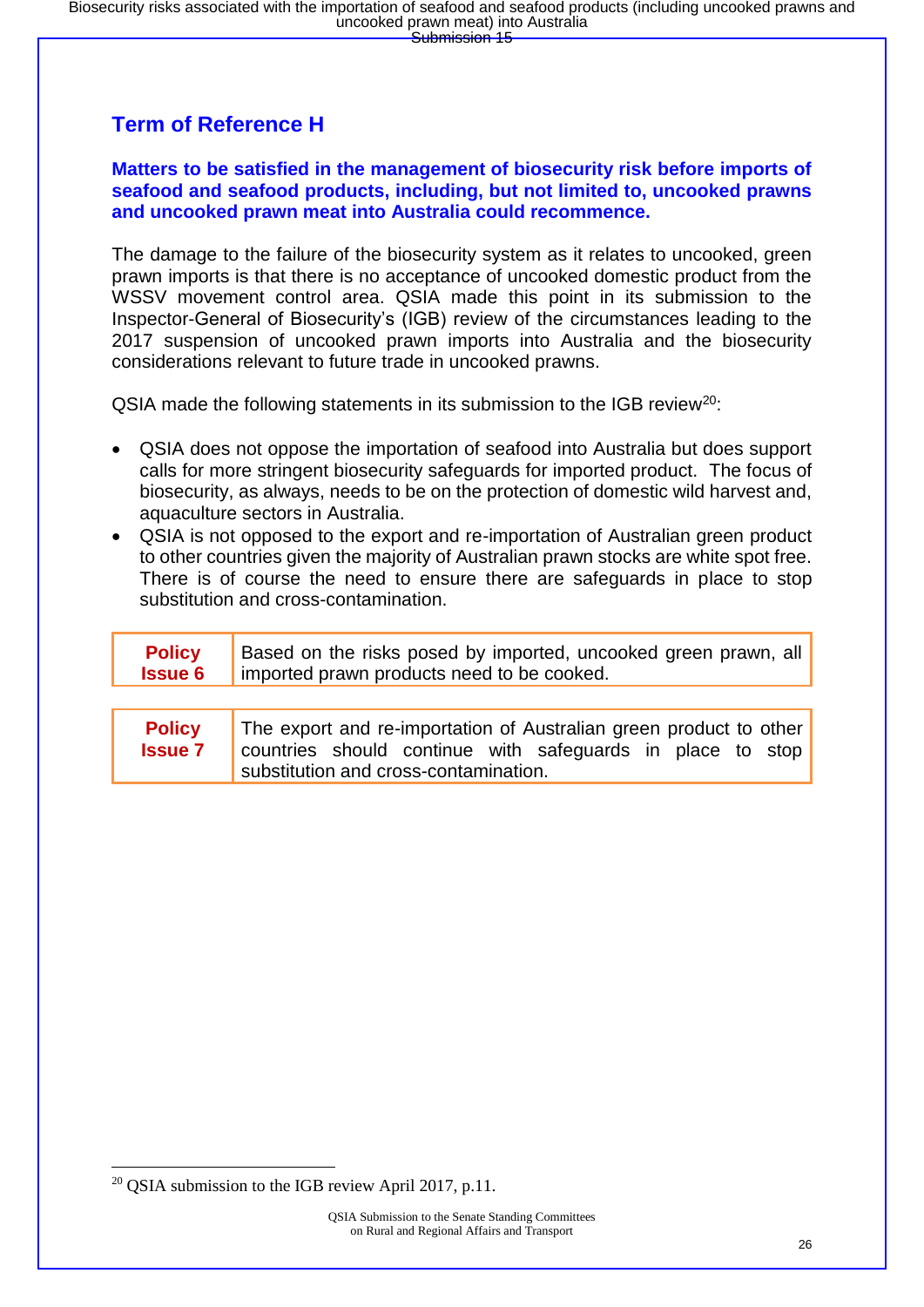### **Term of Reference H**

#### **Matters to be satisfied in the management of biosecurity risk before imports of seafood and seafood products, including, but not limited to, uncooked prawns and uncooked prawn meat into Australia could recommence.**

The damage to the failure of the biosecurity system as it relates to uncooked, green prawn imports is that there is no acceptance of uncooked domestic product from the WSSV movement control area. QSIA made this point in its submission to the Inspector-General of Biosecurity's (IGB) review of the circumstances leading to the 2017 suspension of uncooked prawn imports into Australia and the biosecurity considerations relevant to future trade in uncooked prawns.

QSIA made the following statements in its submission to the IGB review<sup>20</sup>:

- QSIA does not oppose the importation of seafood into Australia but does support calls for more stringent biosecurity safeguards for imported product. The focus of biosecurity, as always, needs to be on the protection of domestic wild harvest and, aquaculture sectors in Australia.
- QSIA is not opposed to the export and re-importation of Australian green product to other countries given the majority of Australian prawn stocks are white spot free. There is of course the need to ensure there are safeguards in place to stop substitution and cross-contamination.

| <b>Policy</b> | Based on the risks posed by imported, uncooked green prawn, all<br><b>Issue 6</b>   imported prawn products need to be cooked. |
|---------------|--------------------------------------------------------------------------------------------------------------------------------|
|               |                                                                                                                                |
|               |                                                                                                                                |

| <b>Policy</b>  | The export and re-importation of Australian green product to other |  |  |  |  |  |  |
|----------------|--------------------------------------------------------------------|--|--|--|--|--|--|
| <b>Issue 7</b> | countries should continue with safeguards in place to stop         |  |  |  |  |  |  |
|                | substitution and cross-contamination.                              |  |  |  |  |  |  |

<sup>&</sup>lt;sup>20</sup> OSIA submission to the IGB review April 2017, p.11.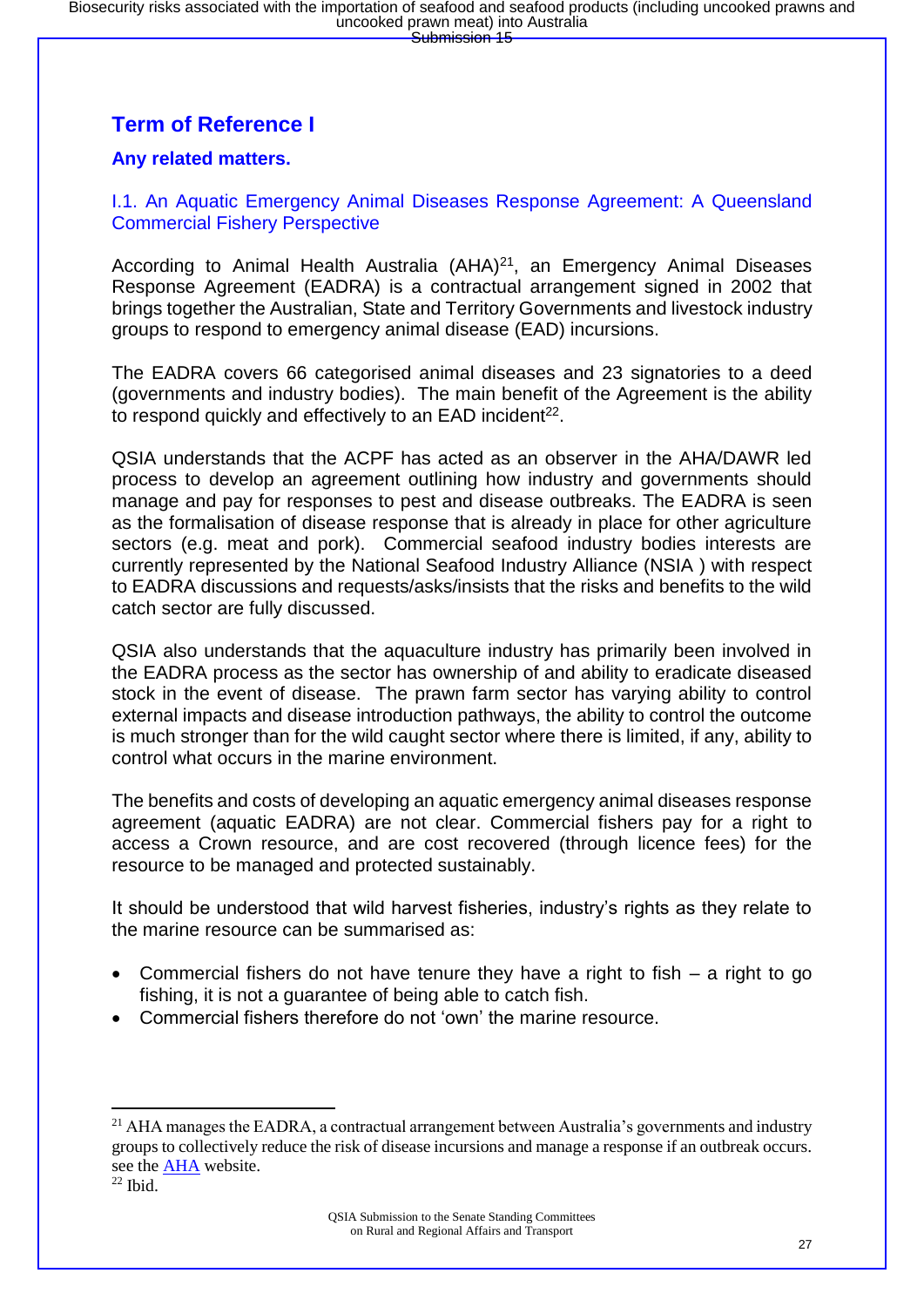### **Term of Reference I**

#### **Any related matters.**

#### I.1. An Aquatic Emergency Animal Diseases Response Agreement: A Queensland Commercial Fishery Perspective

According to Animal Health Australia (AHA)<sup>21</sup>, an Emergency Animal Diseases Response Agreement (EADRA) is a contractual arrangement signed in 2002 that brings together the Australian, State and Territory Governments and livestock industry groups to respond to emergency animal disease (EAD) incursions.

The EADRA covers 66 categorised animal diseases and 23 signatories to a deed (governments and industry bodies). The main benefit of the Agreement is the ability to respond quickly and effectively to an EAD incident<sup>22</sup>.

QSIA understands that the ACPF has acted as an observer in the AHA/DAWR led process to develop an agreement outlining how industry and governments should manage and pay for responses to pest and disease outbreaks. The EADRA is seen as the formalisation of disease response that is already in place for other agriculture sectors (e.g. meat and pork). Commercial seafood industry bodies interests are currently represented by the National Seafood Industry Alliance (NSIA ) with respect to EADRA discussions and requests/asks/insists that the risks and benefits to the wild catch sector are fully discussed.

QSIA also understands that the aquaculture industry has primarily been involved in the EADRA process as the sector has ownership of and ability to eradicate diseased stock in the event of disease. The prawn farm sector has varying ability to control external impacts and disease introduction pathways, the ability to control the outcome is much stronger than for the wild caught sector where there is limited, if any, ability to control what occurs in the marine environment.

The benefits and costs of developing an aquatic emergency animal diseases response agreement (aquatic EADRA) are not clear. Commercial fishers pay for a right to access a Crown resource, and are cost recovered (through licence fees) for the resource to be managed and protected sustainably.

It should be understood that wild harvest fisheries, industry's rights as they relate to the marine resource can be summarised as:

- Commercial fishers do not have tenure they have a right to fish  $-$  a right to go fishing, it is not a guarantee of being able to catch fish.
- Commercial fishers therefore do not 'own' the marine resource.

<sup>&</sup>lt;sup>21</sup> AHA manages the EADRA, a contractual arrangement between Australia's governments and industry groups to collectively reduce the risk of disease incursions and manage a response if an outbreak occurs. see the [AHA](https://www.animalhealthaustralia.com.au/what-we-do/emergency-animal-disease/ead-response-agreement/) website.

 $22$  Ibid.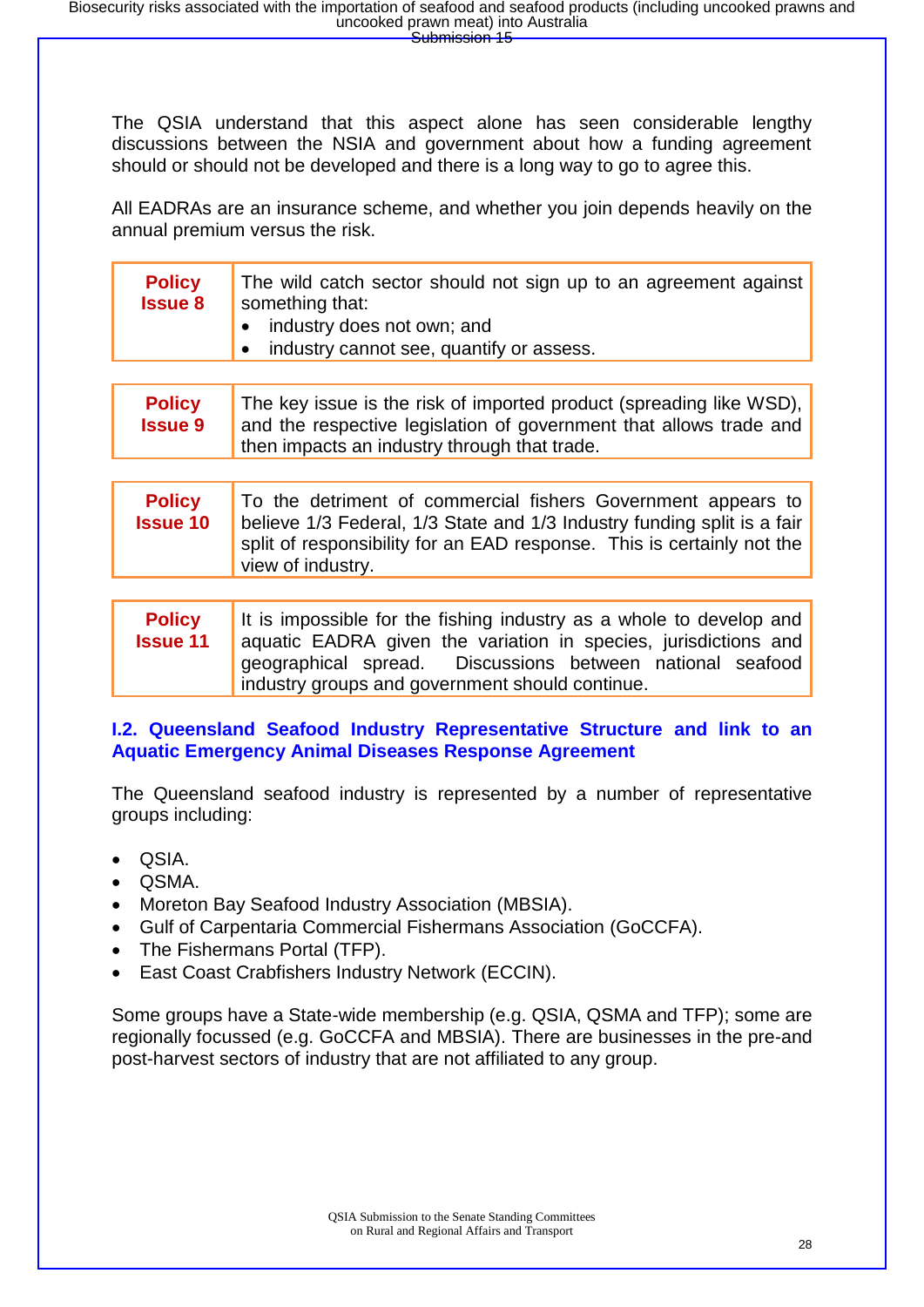The QSIA understand that this aspect alone has seen considerable lengthy discussions between the NSIA and government about how a funding agreement should or should not be developed and there is a long way to go to agree this.

All EADRAs are an insurance scheme, and whether you join depends heavily on the annual premium versus the risk.

| <b>Policy</b><br><b>Issue 8</b> | The wild catch sector should not sign up to an agreement against<br>something that:                                                                                                                                            |
|---------------------------------|--------------------------------------------------------------------------------------------------------------------------------------------------------------------------------------------------------------------------------|
|                                 | $\bullet$ industry does not own; and                                                                                                                                                                                           |
|                                 | the distribution of a state of the state of the second state of the state of the state of the state of the state of the state of the state of the state of the state of the state of the state of the state of the state of th |

• industry cannot see, quantify or assess.

| <b>Policy</b>  | The key issue is the risk of imported product (spreading like WSD), |
|----------------|---------------------------------------------------------------------|
| <b>Issue 9</b> | and the respective legislation of government that allows trade and  |
|                | then impacts an industry through that trade.                        |

| <b>Policy</b>   | To the detriment of commercial fishers Government appears to            |
|-----------------|-------------------------------------------------------------------------|
| <b>Issue 10</b> | believe 1/3 Federal, 1/3 State and 1/3 Industry funding split is a fair |
|                 | split of responsibility for an EAD response. This is certainly not the  |
|                 | view of industry.                                                       |

**Policy Issue 11** It is impossible for the fishing industry as a whole to develop and aquatic EADRA given the variation in species, jurisdictions and geographical spread. Discussions between national seafood industry groups and government should continue.

#### **I.2. Queensland Seafood Industry Representative Structure and link to an Aquatic Emergency Animal Diseases Response Agreement**

The Queensland seafood industry is represented by a number of representative groups including:

- QSIA.
- QSMA.
- Moreton Bay Seafood Industry Association (MBSIA).
- Gulf of Carpentaria Commercial Fishermans Association (GoCCFA).
- The Fishermans Portal (TFP).
- East Coast Crabfishers Industry Network (ECCIN).

Some groups have a State-wide membership (e.g. QSIA, QSMA and TFP); some are regionally focussed (e.g. GoCCFA and MBSIA). There are businesses in the pre-and post-harvest sectors of industry that are not affiliated to any group.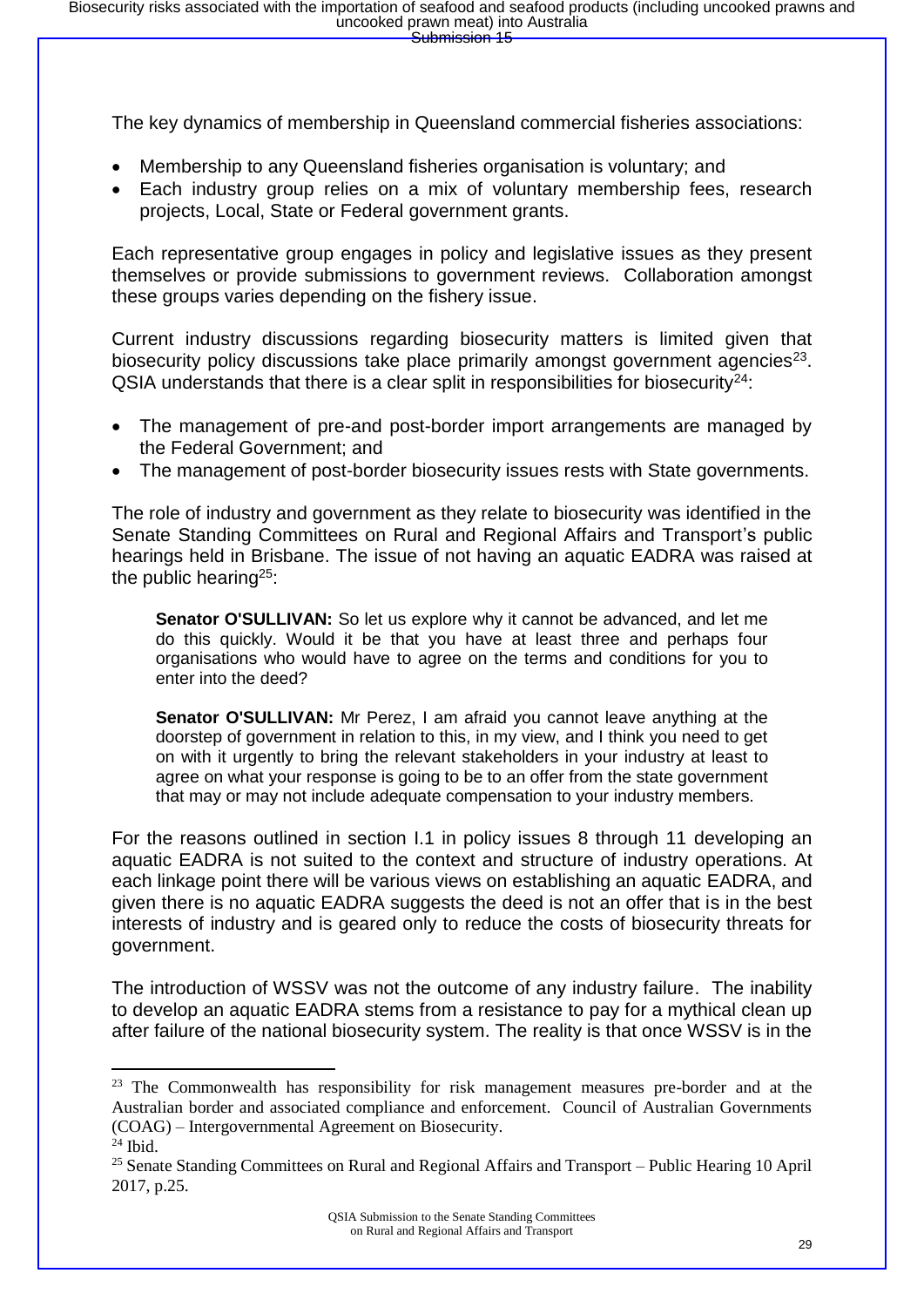The key dynamics of membership in Queensland commercial fisheries associations:

- Membership to any Queensland fisheries organisation is voluntary; and
- Each industry group relies on a mix of voluntary membership fees, research projects, Local, State or Federal government grants.

Each representative group engages in policy and legislative issues as they present themselves or provide submissions to government reviews. Collaboration amongst these groups varies depending on the fishery issue.

Current industry discussions regarding biosecurity matters is limited given that biosecurity policy discussions take place primarily amongst government agencies<sup>23</sup>.  $QSIA$  understands that there is a clear split in responsibilities for biosecurity<sup>24</sup>:

- The management of pre-and post-border import arrangements are managed by the Federal Government; and
- The management of post-border biosecurity issues rests with State governments.

The role of industry and government as they relate to biosecurity was identified in the Senate Standing Committees on Rural and Regional Affairs and Transport's public hearings held in Brisbane. The issue of not having an aquatic EADRA was raised at the public hearing<sup>25</sup>:

**Senator O'SULLIVAN:** So let us explore why it cannot be advanced, and let me do this quickly. Would it be that you have at least three and perhaps four organisations who would have to agree on the terms and conditions for you to enter into the deed?

**Senator O'SULLIVAN:** Mr Perez, I am afraid you cannot leave anything at the doorstep of government in relation to this, in my view, and I think you need to get on with it urgently to bring the relevant stakeholders in your industry at least to agree on what your response is going to be to an offer from the state government that may or may not include adequate compensation to your industry members.

For the reasons outlined in section I.1 in policy issues 8 through 11 developing an aquatic EADRA is not suited to the context and structure of industry operations. At each linkage point there will be various views on establishing an aquatic EADRA, and given there is no aquatic EADRA suggests the deed is not an offer that is in the best interests of industry and is geared only to reduce the costs of biosecurity threats for government.

The introduction of WSSV was not the outcome of any industry failure. The inability to develop an aquatic EADRA stems from a resistance to pay for a mythical clean up after failure of the national biosecurity system. The reality is that once WSSV is in the

<sup>&</sup>lt;sup>23</sup> The Commonwealth has responsibility for risk management measures pre-border and at the Australian border and associated compliance and enforcement. Council of Australian Governments (COAG) – Intergovernmental Agreement on Biosecurity.

 $24$  Ibid.

<sup>&</sup>lt;sup>25</sup> Senate Standing Committees on Rural and Regional Affairs and Transport – Public Hearing 10 April 2017, p.25.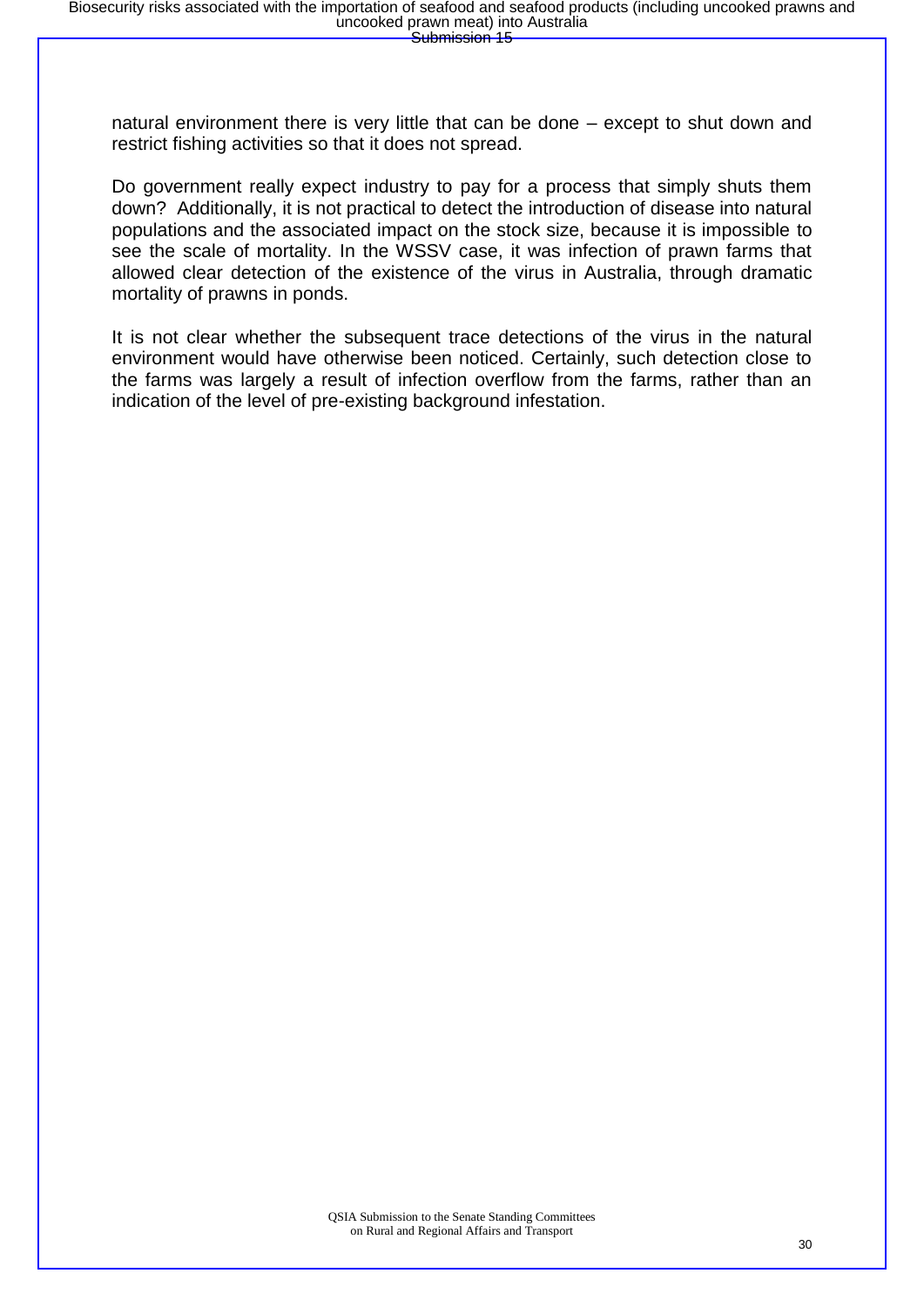natural environment there is very little that can be done – except to shut down and restrict fishing activities so that it does not spread.

Do government really expect industry to pay for a process that simply shuts them down? Additionally, it is not practical to detect the introduction of disease into natural populations and the associated impact on the stock size, because it is impossible to see the scale of mortality. In the WSSV case, it was infection of prawn farms that allowed clear detection of the existence of the virus in Australia, through dramatic mortality of prawns in ponds.

It is not clear whether the subsequent trace detections of the virus in the natural environment would have otherwise been noticed. Certainly, such detection close to the farms was largely a result of infection overflow from the farms, rather than an indication of the level of pre-existing background infestation.